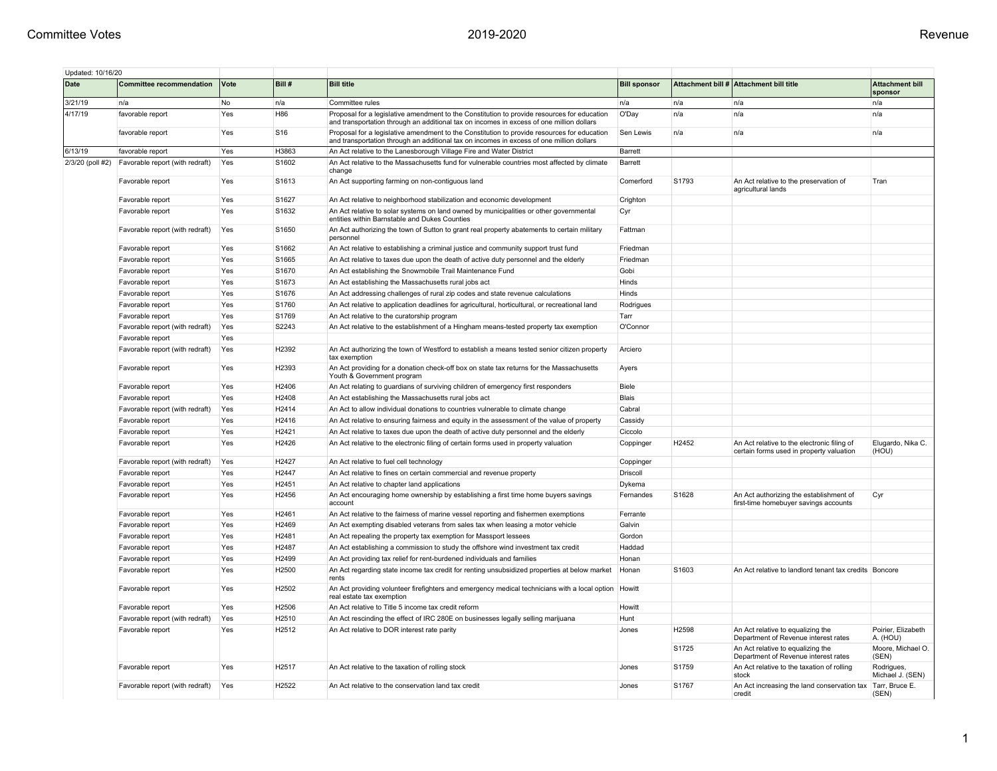| Updated: 10/16/20 |                                 |      |                   |                                                                                                                                                                                         |                     |       |                                                                                         |                                   |
|-------------------|---------------------------------|------|-------------------|-----------------------------------------------------------------------------------------------------------------------------------------------------------------------------------------|---------------------|-------|-----------------------------------------------------------------------------------------|-----------------------------------|
| Date              | <b>Committee recommendation</b> | Vote | Bill#             | <b>Bill title</b>                                                                                                                                                                       | <b>Bill sponsor</b> |       | Attachment bill # Attachment bill title                                                 | <b>Attachment bill</b><br>sponsor |
| 3/21/19           | n/a                             | No   | n/a               | Committee rules                                                                                                                                                                         | n/a                 | n/a   | n/a                                                                                     | n/a                               |
| 4/17/19           | favorable report                | Yes  | H86               | Proposal for a legislative amendment to the Constitution to provide resources for education<br>and transportation through an additional tax on incomes in excess of one million dollars | O'Day               | n/a   | n/a                                                                                     | n/a                               |
|                   | favorable report                | Yes  | S <sub>16</sub>   | Proposal for a legislative amendment to the Constitution to provide resources for education<br>and transportation through an additional tax on incomes in excess of one million dollars | Sen Lewis           | n/a   | n/a                                                                                     | n/a                               |
| 6/13/19           | favorable report                | Yes  | H3863             | An Act relative to the Lanesborough Village Fire and Water District                                                                                                                     | Barrett             |       |                                                                                         |                                   |
| 2/3/20 (poll #2)  | Favorable report (with redraft) | Yes  | S1602             | An Act relative to the Massachusetts fund for vulnerable countries most affected by climate<br>change                                                                                   | Barrett             |       |                                                                                         |                                   |
|                   | Favorable report                | Yes  | S1613             | An Act supporting farming on non-contiguous land                                                                                                                                        | Comerford           | S1793 | An Act relative to the preservation of<br>agricultural lands                            | Tran                              |
|                   | Favorable report                | Yes  | S1627             | An Act relative to neighborhood stabilization and economic development                                                                                                                  | Crighton            |       |                                                                                         |                                   |
|                   | Favorable report                | Yes  | S1632             | An Act relative to solar systems on land owned by municipalities or other governmental<br>entities within Barnstable and Dukes Counties                                                 | Cyr                 |       |                                                                                         |                                   |
|                   | Favorable report (with redraft) | Yes  | S1650             | An Act authorizing the town of Sutton to grant real property abatements to certain military<br>personnel                                                                                | Fattman             |       |                                                                                         |                                   |
|                   | Favorable report                | Yes  | S1662             | An Act relative to establishing a criminal justice and community support trust fund                                                                                                     | Friedman            |       |                                                                                         |                                   |
|                   | Favorable report                | Yes  | S1665             | An Act relative to taxes due upon the death of active duty personnel and the elderly                                                                                                    | Friedman            |       |                                                                                         |                                   |
|                   | Favorable report                | Yes  | S1670             | An Act establishing the Snowmobile Trail Maintenance Fund                                                                                                                               | Gobi                |       |                                                                                         |                                   |
|                   | Favorable report                | Yes  | S <sub>1673</sub> | An Act establishing the Massachusetts rural jobs act                                                                                                                                    | Hinds               |       |                                                                                         |                                   |
|                   | Favorable report                | Yes  | S1676             | An Act addressing challenges of rural zip codes and state revenue calculations                                                                                                          | Hinds               |       |                                                                                         |                                   |
|                   | Favorable report                | Yes  | S1760             | An Act relative to application deadlines for agricultural, horticultural, or recreational land                                                                                          | Rodrigues           |       |                                                                                         |                                   |
|                   | Favorable report                | Yes  | S1769             | An Act relative to the curatorship program                                                                                                                                              | Tarr                |       |                                                                                         |                                   |
|                   | Favorable report (with redraft) | Yes  | S2243             | An Act relative to the establishment of a Hingham means-tested property tax exemption                                                                                                   | O'Connor            |       |                                                                                         |                                   |
|                   | Favorable report                | Yes  |                   |                                                                                                                                                                                         |                     |       |                                                                                         |                                   |
|                   | Favorable report (with redraft) | Yes  | H2392             | An Act authorizing the town of Westford to establish a means tested senior citizen property<br>tax exemption                                                                            | Arciero             |       |                                                                                         |                                   |
|                   | Favorable report                | Yes  | H2393             | An Act providing for a donation check-off box on state tax returns for the Massachusetts<br>Youth & Government program                                                                  | Ayers               |       |                                                                                         |                                   |
|                   | Favorable report                | Yes  | H2406             | An Act relating to guardians of surviving children of emergency first responders                                                                                                        | Biele               |       |                                                                                         |                                   |
|                   | Favorable report                | Yes  | H2408             | An Act establishing the Massachusetts rural jobs act                                                                                                                                    | <b>Blais</b>        |       |                                                                                         |                                   |
|                   | Favorable report (with redraft) | Yes  | H2414             | An Act to allow individual donations to countries vulnerable to climate change                                                                                                          | Cabral              |       |                                                                                         |                                   |
|                   | Favorable report                | Yes  | H2416             | An Act relative to ensuring fairness and equity in the assessment of the value of property                                                                                              | Cassidy             |       |                                                                                         |                                   |
|                   | Favorable report                | Yes  | H2421             | An Act relative to taxes due upon the death of active duty personnel and the elderly                                                                                                    | Ciccolo             |       |                                                                                         |                                   |
|                   | Favorable report                | Yes  | H2426             | An Act relative to the electronic filing of certain forms used in property valuation                                                                                                    | Coppinger           | H2452 | An Act relative to the electronic filing of<br>certain forms used in property valuation | Elugardo, Nika C.<br>(HOU)        |
|                   | Favorable report (with redraft) | Yes  | H2427             | An Act relative to fuel cell technology                                                                                                                                                 | Coppinger           |       |                                                                                         |                                   |
|                   | Favorable report                | Yes  | H2447             | An Act relative to fines on certain commercial and revenue property                                                                                                                     | Driscoll            |       |                                                                                         |                                   |
|                   | Favorable report                | Yes  | H2451             | An Act relative to chapter land applications                                                                                                                                            | Dykema              |       |                                                                                         |                                   |
|                   | Favorable report                | Yes  | H2456             | An Act encouraging home ownership by establishing a first time home buyers savings<br>account                                                                                           | Fernandes           | S1628 | An Act authorizing the establishment of<br>first-time homebuyer savings accounts        | Cyr                               |
|                   | Favorable report                | Yes  | H2461             | An Act relative to the fairness of marine vessel reporting and fishermen exemptions                                                                                                     | Ferrante            |       |                                                                                         |                                   |
|                   | Favorable report                | Yes  | H2469             | An Act exempting disabled veterans from sales tax when leasing a motor vehicle                                                                                                          | Galvin              |       |                                                                                         |                                   |
|                   | Favorable report                | Yes  | H2481             | An Act repealing the property tax exemption for Massport lessees                                                                                                                        | Gordon              |       |                                                                                         |                                   |
|                   | Favorable report                | Yes  | H2487             | An Act establishing a commission to study the offshore wind investment tax credit                                                                                                       | Haddad              |       |                                                                                         |                                   |
|                   | Favorable report                | Yes  | H2499             | An Act providing tax relief for rent-burdened individuals and families                                                                                                                  | Honan               |       |                                                                                         |                                   |
|                   | Favorable report                | Yes  | H2500             | An Act regarding state income tax credit for renting unsubsidized properties at below market<br>rents                                                                                   | Honan               | S1603 | An Act relative to landlord tenant tax credits Boncore                                  |                                   |
|                   | Favorable report                | Yes  | H2502             | An Act providing volunteer firefighters and emergency medical technicians with a local option<br>real estate tax exemption                                                              | Howitt              |       |                                                                                         |                                   |
|                   | Favorable report                | Yes  | H2506             | An Act relative to Title 5 income tax credit reform                                                                                                                                     | Howitt              |       |                                                                                         |                                   |
|                   | Favorable report (with redraft) | Yes  | H2510             | An Act rescinding the effect of IRC 280E on businesses legally selling marijuana                                                                                                        | Hunt                |       |                                                                                         |                                   |
|                   | Favorable report                | Yes  | H2512             | An Act relative to DOR interest rate parity                                                                                                                                             | Jones               | H2598 | An Act relative to equalizing the<br>Department of Revenue interest rates               | Poirier, Elizabeth<br>A. (HOU)    |
|                   |                                 |      |                   |                                                                                                                                                                                         |                     | S1725 | An Act relative to equalizing the<br>Department of Revenue interest rates               | Moore, Michael O.<br>(SEN)        |
|                   | Favorable report                | Yes  | H2517             | An Act relative to the taxation of rolling stock                                                                                                                                        | Jones               | S1759 | An Act relative to the taxation of rolling<br>stock                                     | Rodrigues,<br>Michael J. (SEN)    |
|                   | Favorable report (with redraft) | Yes  | H2522             | An Act relative to the conservation land tax credit                                                                                                                                     | Jones               | S1767 | An Act increasing the land conservation tax<br>credit                                   | Tarr, Bruce E.<br>(SEN)           |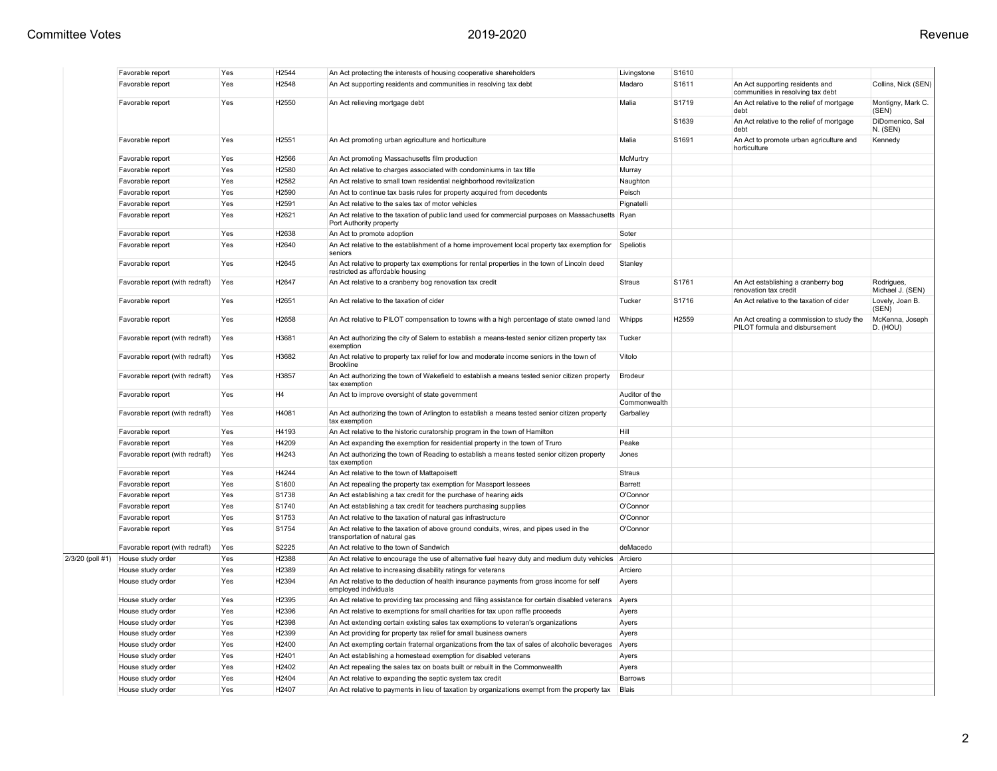|                  | Favorable report                | Yes | H2544 | An Act protecting the interests of housing cooperative shareholders                                                              | Livingstone                    | S1610 |                                                                             |                                |
|------------------|---------------------------------|-----|-------|----------------------------------------------------------------------------------------------------------------------------------|--------------------------------|-------|-----------------------------------------------------------------------------|--------------------------------|
|                  | Favorable report                | Yes | H2548 | An Act supporting residents and communities in resolving tax debt                                                                | Madaro                         | S1611 | An Act supporting residents and<br>communities in resolving tax debt        | Collins, Nick (SEN)            |
|                  | Favorable report                | Yes | H2550 | An Act relieving mortgage debt                                                                                                   | Malia                          | S1719 | An Act relative to the relief of mortgage<br>debt                           | Montigny, Mark C.<br>(SEN)     |
|                  |                                 |     |       |                                                                                                                                  |                                | S1639 | An Act relative to the relief of mortgage<br>debt                           | DiDomenico, Sal<br>N. (SEN)    |
|                  | Favorable report                | Yes | H2551 | An Act promoting urban agriculture and horticulture                                                                              | Malia                          | S1691 | An Act to promote urban agriculture and<br>horticulture                     | Kennedy                        |
|                  | Favorable report                | Yes | H2566 | An Act promoting Massachusetts film production                                                                                   | McMurtry                       |       |                                                                             |                                |
|                  | Favorable report                | Yes | H2580 | An Act relative to charges associated with condominiums in tax title                                                             | Murray                         |       |                                                                             |                                |
|                  | Favorable report                | Yes | H2582 | An Act relative to small town residential neighborhood revitalization                                                            | Naughton                       |       |                                                                             |                                |
|                  | Favorable report                | Yes | H2590 | An Act to continue tax basis rules for property acquired from decedents                                                          | Peisch                         |       |                                                                             |                                |
|                  | Favorable report                | Yes | H2591 | An Act relative to the sales tax of motor vehicles                                                                               | Pignatelli                     |       |                                                                             |                                |
|                  | Favorable report                | Yes | H2621 | An Act relative to the taxation of public land used for commercial purposes on Massachusetts<br>Port Authority property          | Ryan                           |       |                                                                             |                                |
|                  | Favorable report                | Yes | H2638 | An Act to promote adoption                                                                                                       | Soter                          |       |                                                                             |                                |
|                  | Favorable report                | Yes | H2640 | An Act relative to the establishment of a home improvement local property tax exemption for<br>seniors                           | Speliotis                      |       |                                                                             |                                |
|                  | Favorable report                | Yes | H2645 | An Act relative to property tax exemptions for rental properties in the town of Lincoln deed<br>restricted as affordable housing | Stanley                        |       |                                                                             |                                |
|                  | Favorable report (with redraft) | Yes | H2647 | An Act relative to a cranberry bog renovation tax credit                                                                         | Straus                         | S1761 | An Act establishing a cranberry bog<br>renovation tax credit                | Rodrigues,<br>Michael J. (SEN) |
|                  | Favorable report                | Yes | H2651 | An Act relative to the taxation of cider                                                                                         | Tucker                         | S1716 | An Act relative to the taxation of cider                                    | Lovely, Joan B.<br>(SEN)       |
|                  | Favorable report                | Yes | H2658 | An Act relative to PILOT compensation to towns with a high percentage of state owned land                                        | Whipps                         | H2559 | An Act creating a commission to study the<br>PILOT formula and disbursement | McKenna, Joseph<br>D. (HOU)    |
|                  | Favorable report (with redraft) | Yes | H3681 | An Act authorizing the city of Salem to establish a means-tested senior citizen property tax<br>exemption                        | Tucker                         |       |                                                                             |                                |
|                  | Favorable report (with redraft) | Yes | H3682 | An Act relative to property tax relief for low and moderate income seniors in the town of<br><b>Brookline</b>                    | Vitolo                         |       |                                                                             |                                |
|                  | Favorable report (with redraft) | Yes | H3857 | An Act authorizing the town of Wakefield to establish a means tested senior citizen property<br>tax exemption                    | Brodeur                        |       |                                                                             |                                |
|                  | Favorable report                | Yes | H4    | An Act to improve oversight of state government                                                                                  | Auditor of the<br>Commonwealth |       |                                                                             |                                |
|                  | Favorable report (with redraft) | Yes | H4081 | An Act authorizing the town of Arlington to establish a means tested senior citizen property<br>tax exemption                    | Garballey                      |       |                                                                             |                                |
|                  | Favorable report                | Yes | H4193 | An Act relative to the historic curatorship program in the town of Hamilton                                                      | Hill                           |       |                                                                             |                                |
|                  | Favorable report                | Yes | H4209 | An Act expanding the exemption for residential property in the town of Truro                                                     | Peake                          |       |                                                                             |                                |
|                  | Favorable report (with redraft) | Yes | H4243 | An Act authorizing the town of Reading to establish a means tested senior citizen property<br>tax exemption                      | Jones                          |       |                                                                             |                                |
|                  | Favorable report                | Yes | H4244 | An Act relative to the town of Mattapoisett                                                                                      | Straus                         |       |                                                                             |                                |
|                  | Favorable report                | Yes | S1600 | An Act repealing the property tax exemption for Massport lessees                                                                 | Barrett                        |       |                                                                             |                                |
|                  | Favorable report                | Yes | S1738 | An Act establishing a tax credit for the purchase of hearing aids                                                                | O'Connor                       |       |                                                                             |                                |
|                  | Favorable report                | Yes | S1740 | An Act establishing a tax credit for teachers purchasing supplies                                                                | O'Connor                       |       |                                                                             |                                |
|                  | Favorable report                | Yes | S1753 | An Act relative to the taxation of natural gas infrastructure                                                                    | O'Connor                       |       |                                                                             |                                |
|                  | Favorable report                | Yes | S1754 | An Act relative to the taxation of above ground conduits, wires, and pipes used in the<br>transportation of natural gas          | O'Connor                       |       |                                                                             |                                |
|                  | Favorable report (with redraft) | Yes | S2225 | An Act relative to the town of Sandwich                                                                                          | deMacedo                       |       |                                                                             |                                |
| 2/3/20 (poll #1) | House study order               | Yes | H2388 | An Act relative to encourage the use of alternative fuel heavy duty and medium duty vehicles                                     | Arciero                        |       |                                                                             |                                |
|                  | House study order               | Yes | H2389 | An Act relative to increasing disability ratings for veterans                                                                    | Arciero                        |       |                                                                             |                                |
|                  | House study order               | Yes | H2394 | An Act relative to the deduction of health insurance payments from gross income for self<br>employed individuals                 | Ayers                          |       |                                                                             |                                |
|                  | House study order               | Yes | H2395 | An Act relative to providing tax processing and filing assistance for certain disabled veterans                                  | Ayers                          |       |                                                                             |                                |
|                  | House study order               | Yes | H2396 | An Act relative to exemptions for small charities for tax upon raffle proceeds                                                   | Ayers                          |       |                                                                             |                                |
|                  | House study order               | Yes | H2398 | An Act extending certain existing sales tax exemptions to veteran's organizations                                                | Ayers                          |       |                                                                             |                                |
|                  | House study order               | Yes | H2399 | An Act providing for property tax relief for small business owners                                                               | Ayers                          |       |                                                                             |                                |
|                  | House study order               | Yes | H2400 | An Act exempting certain fraternal organizations from the tax of sales of alcoholic beverages                                    | Ayers                          |       |                                                                             |                                |
|                  | House study order               | Yes | H2401 | An Act establishing a homestead exemption for disabled veterans                                                                  | Ayers                          |       |                                                                             |                                |
|                  | House study order               | Yes | H2402 | An Act repealing the sales tax on boats built or rebuilt in the Commonwealth                                                     | Ayers                          |       |                                                                             |                                |
|                  | House study order               | Yes | H2404 | An Act relative to expanding the septic system tax credit                                                                        | Barrows                        |       |                                                                             |                                |
|                  | House study order               | Yes | H2407 | An Act relative to payments in lieu of taxation by organizations exempt from the property tax                                    | <b>Blais</b>                   |       |                                                                             |                                |
|                  |                                 |     |       |                                                                                                                                  |                                |       |                                                                             |                                |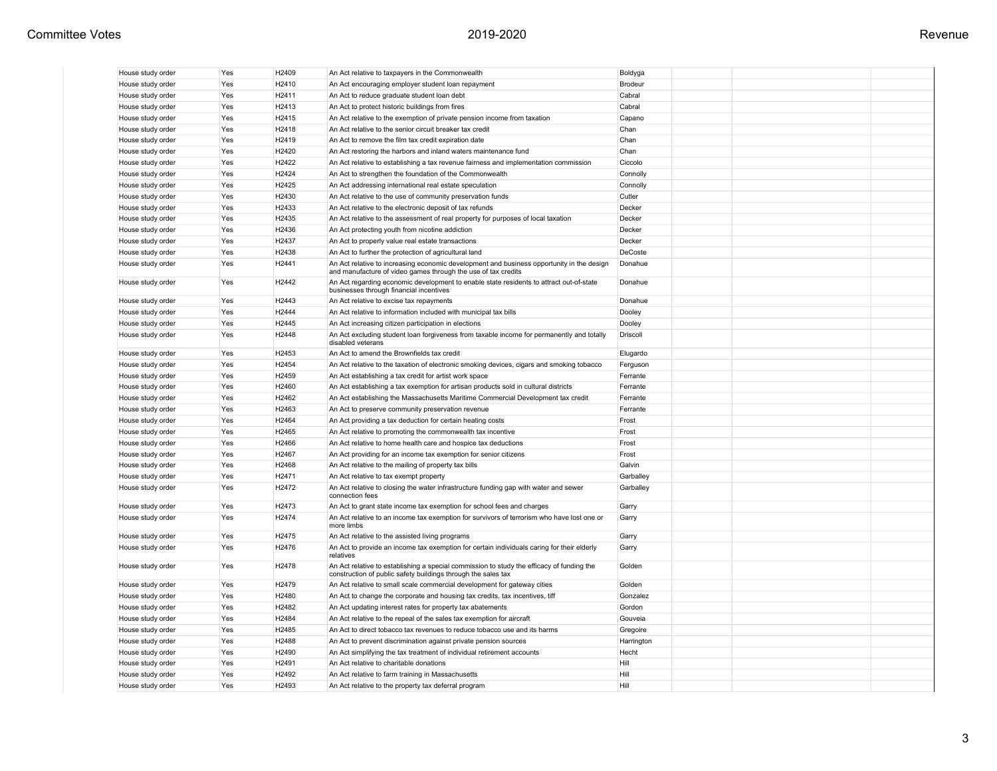| House study order | Yes | H2409 | An Act relative to taxpayers in the Commonwealth                                                                                                           | Boldyga    |  |  |
|-------------------|-----|-------|------------------------------------------------------------------------------------------------------------------------------------------------------------|------------|--|--|
| House study order | Yes | H2410 | An Act encouraging employer student loan repayment                                                                                                         | Brodeur    |  |  |
| House study order | Yes | H2411 | An Act to reduce graduate student loan debt                                                                                                                | Cabral     |  |  |
| House study order | Yes | H2413 | An Act to protect historic buildings from fires                                                                                                            | Cabral     |  |  |
| House study order | Yes | H2415 | An Act relative to the exemption of private pension income from taxation                                                                                   | Capano     |  |  |
| House study order | Yes | H2418 | An Act relative to the senior circuit breaker tax credit                                                                                                   | Chan       |  |  |
| House study order | Yes | H2419 | An Act to remove the film tax credit expiration date                                                                                                       | Chan       |  |  |
| House study order | Yes | H2420 | An Act restoring the harbors and inland waters maintenance fund                                                                                            | Chan       |  |  |
| House study order | Yes | H2422 | An Act relative to establishing a tax revenue fairness and implementation commission                                                                       | Ciccolo    |  |  |
| House study order | Yes | H2424 | An Act to strengthen the foundation of the Commonwealth                                                                                                    | Connolly   |  |  |
| House study order | Yes | H2425 | An Act addressing international real estate speculation                                                                                                    | Connolly   |  |  |
| House study order | Yes | H2430 | An Act relative to the use of community preservation funds                                                                                                 | Cutler     |  |  |
| House study order | Yes | H2433 | An Act relative to the electronic deposit of tax refunds                                                                                                   | Decker     |  |  |
| House study order | Yes | H2435 | An Act relative to the assessment of real property for purposes of local taxation                                                                          | Decker     |  |  |
| House study order | Yes | H2436 | An Act protecting youth from nicotine addiction                                                                                                            | Decker     |  |  |
| House study order | Yes | H2437 | An Act to properly value real estate transactions                                                                                                          | Decker     |  |  |
| House study order | Yes | H2438 | An Act to further the protection of agricultural land                                                                                                      | DeCoste    |  |  |
| House study order | Yes | H2441 | An Act relative to increasing economic development and business opportunity in the design                                                                  | Donahue    |  |  |
|                   |     |       | and manufacture of video games through the use of tax credits                                                                                              |            |  |  |
| House study order | Yes | H2442 | An Act regarding economic development to enable state residents to attract out-of-state                                                                    | Donahue    |  |  |
|                   |     |       | businesses through financial incentives                                                                                                                    |            |  |  |
| House study order | Yes | H2443 | An Act relative to excise tax repayments                                                                                                                   | Donahue    |  |  |
| House study order | Yes | H2444 | An Act relative to information included with municipal tax bills                                                                                           | Dooley     |  |  |
| House study order | Yes | H2445 | An Act increasing citizen participation in elections                                                                                                       | Dooley     |  |  |
| House study order | Yes | H2448 | An Act excluding student loan forgiveness from taxable income for permanently and totally<br>disabled veterans                                             | Driscoll   |  |  |
| House study order | Yes | H2453 | An Act to amend the Brownfields tax credit                                                                                                                 | Elugardo   |  |  |
| House study order | Yes | H2454 | An Act relative to the taxation of electronic smoking devices, cigars and smoking tobacco                                                                  | Ferguson   |  |  |
| House study order | Yes | H2459 | An Act establishing a tax credit for artist work space                                                                                                     | Ferrante   |  |  |
| House study order | Yes | H2460 | An Act establishing a tax exemption for artisan products sold in cultural districts                                                                        | Ferrante   |  |  |
| House study order | Yes | H2462 | An Act establishing the Massachusetts Maritime Commercial Development tax credit                                                                           | Ferrante   |  |  |
| House study order | Yes | H2463 | An Act to preserve community preservation revenue                                                                                                          | Ferrante   |  |  |
| House study order | Yes | H2464 | An Act providing a tax deduction for certain heating costs                                                                                                 | Frost      |  |  |
| House study order | Yes | H2465 | An Act relative to promoting the commonwealth tax incentive                                                                                                | Frost      |  |  |
| House study order | Yes | H2466 | An Act relative to home health care and hospice tax deductions                                                                                             | Frost      |  |  |
| House study order | Yes | H2467 | An Act providing for an income tax exemption for senior citizens                                                                                           | Frost      |  |  |
| House study order | Yes | H2468 | An Act relative to the mailing of property tax bills                                                                                                       | Galvin     |  |  |
| House study order | Yes | H2471 | An Act relative to tax exempt property                                                                                                                     | Garballey  |  |  |
| House study order | Yes | H2472 | An Act relative to closing the water infrastructure funding gap with water and sewer<br>connection fees                                                    | Garballey  |  |  |
| House study order | Yes | H2473 | An Act to grant state income tax exemption for school fees and charges                                                                                     | Garry      |  |  |
| House study order | Yes | H2474 | An Act relative to an income tax exemption for survivors of terrorism who have lost one or<br>more limbs                                                   | Garry      |  |  |
| House study order | Yes | H2475 | An Act relative to the assisted living programs                                                                                                            | Garry      |  |  |
| House study order | Yes | H2476 | An Act to provide an income tax exemption for certain individuals caring for their elderly<br>relatives                                                    | Garry      |  |  |
| House study order | Yes | H2478 | An Act relative to establishing a special commission to study the efficacy of funding the<br>construction of public safety buildings through the sales tax | Golden     |  |  |
| House study order | Yes | H2479 | An Act relative to small scale commercial development for gateway cities                                                                                   | Golden     |  |  |
| House study order | Yes | H2480 | An Act to change the corporate and housing tax credits, tax incentives, tiff                                                                               | Gonzalez   |  |  |
| House study order | Yes | H2482 | An Act updating interest rates for property tax abatements                                                                                                 | Gordon     |  |  |
| House study order | Yes | H2484 | An Act relative to the repeal of the sales tax exemption for aircraft                                                                                      | Gouveia    |  |  |
| House study order | Yes | H2485 | An Act to direct tobacco tax revenues to reduce tobacco use and its harms                                                                                  | Gregoire   |  |  |
| House study order | Yes | H2488 | An Act to prevent discrimination against private pension sources                                                                                           | Harrington |  |  |
| House study order | Yes | H2490 | An Act simplifying the tax treatment of individual retirement accounts                                                                                     | Hecht      |  |  |
| House study order | Yes | H2491 | An Act relative to charitable donations                                                                                                                    | Hill       |  |  |
| House study order | Yes | H2492 | An Act relative to farm training in Massachusetts                                                                                                          | Hill       |  |  |
| House study order | Yes | H2493 | An Act relative to the property tax deferral program                                                                                                       | Hill       |  |  |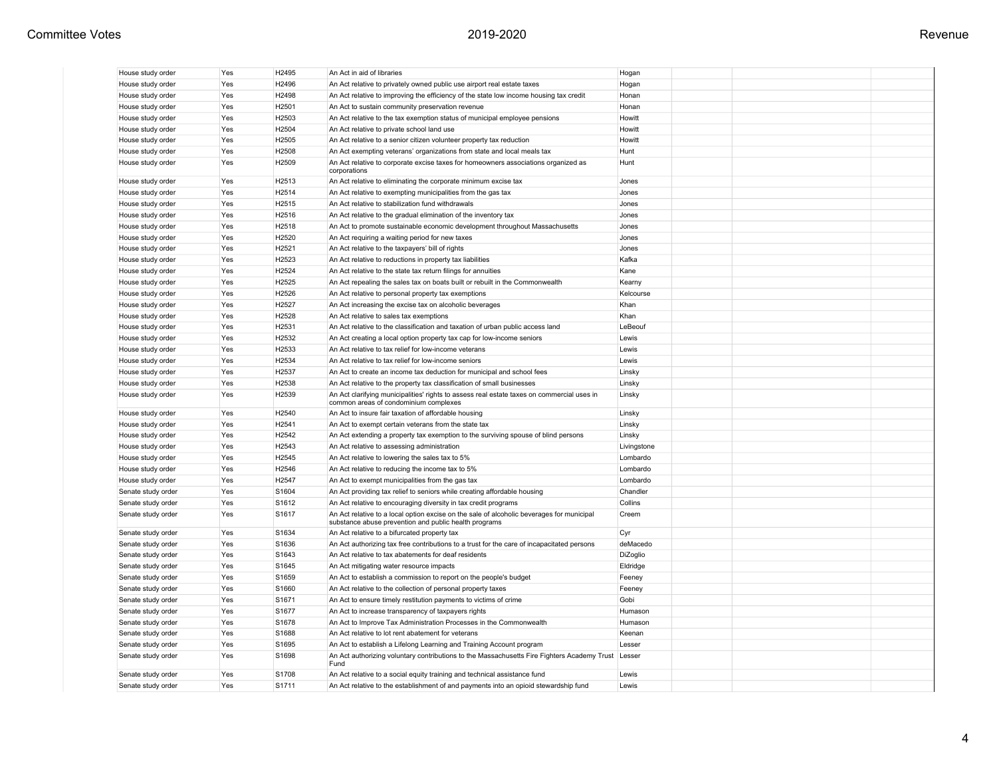| House study order  | Yes        | H2495          | An Act in aid of libraries                                                                                                                         | Hogan       |  |  |
|--------------------|------------|----------------|----------------------------------------------------------------------------------------------------------------------------------------------------|-------------|--|--|
| House study order  | Yes        | H2496          | An Act relative to privately owned public use airport real estate taxes                                                                            | Hogan       |  |  |
| House study order  | Yes        | H2498          | An Act relative to improving the efficiency of the state low income housing tax credit                                                             | Honan       |  |  |
| House study order  | Yes        | H2501          | An Act to sustain community preservation revenue                                                                                                   | Honan       |  |  |
| House study order  | Yes        | H2503          | An Act relative to the tax exemption status of municipal employee pensions                                                                         | Howitt      |  |  |
| House study order  | Yes        | H2504          | An Act relative to private school land use                                                                                                         | Howitt      |  |  |
| House study order  | Yes        | H2505          | An Act relative to a senior citizen volunteer property tax reduction                                                                               | Howitt      |  |  |
| House study order  | Yes        | H2508          | An Act exempting veterans' organizations from state and local meals tax                                                                            | Hunt        |  |  |
| House study order  | Yes        | H2509          | An Act relative to corporate excise taxes for homeowners associations organized as                                                                 | Hunt        |  |  |
|                    |            |                | corporations                                                                                                                                       |             |  |  |
| House study order  | Yes        | H2513          | An Act relative to eliminating the corporate minimum excise tax                                                                                    | Jones       |  |  |
| House study order  | Yes        | H2514          | An Act relative to exempting municipalities from the gas tax                                                                                       | Jones       |  |  |
| House study order  | Yes        | H2515          | An Act relative to stabilization fund withdrawals                                                                                                  | Jones       |  |  |
| House study order  | Yes        | H2516          | An Act relative to the gradual elimination of the inventory tax                                                                                    | Jones       |  |  |
| House study order  | Yes        | H2518          | An Act to promote sustainable economic development throughout Massachusetts                                                                        | Jones       |  |  |
| House study order  | Yes        | H2520          | An Act requiring a waiting period for new taxes                                                                                                    | Jones       |  |  |
| House study order  | Yes        | H2521          | An Act relative to the taxpayers' bill of rights                                                                                                   | Jones       |  |  |
| House study order  | Yes        | H2523          | An Act relative to reductions in property tax liabilities                                                                                          | Kafka       |  |  |
| House study order  | Yes        | H2524          | An Act relative to the state tax return filings for annuities                                                                                      | Kane        |  |  |
| House study order  | Yes        | H2525          | An Act repealing the sales tax on boats built or rebuilt in the Commonwealth                                                                       | Kearny      |  |  |
| House study order  | Yes        | H2526          | An Act relative to personal property tax exemptions                                                                                                | Kelcourse   |  |  |
| House study order  | Yes        | H2527          | An Act increasing the excise tax on alcoholic beverages                                                                                            | Khan        |  |  |
| House study order  | Yes        | H2528          | An Act relative to sales tax exemptions                                                                                                            | Khan        |  |  |
| House study order  | Yes        | H2531          | An Act relative to the classification and taxation of urban public access land                                                                     | LeBeouf     |  |  |
| House study order  | Yes        | H2532          | An Act creating a local option property tax cap for low-income seniors                                                                             | Lewis       |  |  |
|                    |            | H2533          |                                                                                                                                                    | Lewis       |  |  |
| House study order  | Yes        |                | An Act relative to tax relief for low-income veterans                                                                                              |             |  |  |
| House study order  | Yes        | H2534<br>H2537 | An Act relative to tax relief for low-income seniors                                                                                               | Lewis       |  |  |
| House study order  | Yes        |                | An Act to create an income tax deduction for municipal and school fees                                                                             | Linsky      |  |  |
| House study order  | Yes        | H2538          | An Act relative to the property tax classification of small businesses                                                                             | Linsky      |  |  |
| House study order  | Yes        | H2539          | An Act clarifying municipalities' rights to assess real estate taxes on commercial uses in<br>common areas of condominium complexes                | Linsky      |  |  |
| House study order  | Yes        | H2540          | An Act to insure fair taxation of affordable housing                                                                                               | Linsky      |  |  |
| House study order  | Yes        | H2541          | An Act to exempt certain veterans from the state tax                                                                                               | Linsky      |  |  |
| House study order  | Yes        | H2542          | An Act extending a property tax exemption to the surviving spouse of blind persons                                                                 | Linsky      |  |  |
| House study order  | Yes        | H2543          | An Act relative to assessing administration                                                                                                        | Livingstone |  |  |
| House study order  | Yes        | H2545          | An Act relative to lowering the sales tax to 5%                                                                                                    | Lombardo    |  |  |
| House study order  | Yes        | H2546          | An Act relative to reducing the income tax to 5%                                                                                                   | Lombardo    |  |  |
| House study order  | Yes        | H2547          | An Act to exempt municipalities from the gas tax                                                                                                   | Lombardo    |  |  |
| Senate study order | Yes        | S1604          | An Act providing tax relief to seniors while creating affordable housing                                                                           | Chandler    |  |  |
| Senate study order | Yes        | S1612          | An Act relative to encouraging diversity in tax credit programs                                                                                    | Collins     |  |  |
| Senate study order | Yes        | S1617          | An Act relative to a local option excise on the sale of alcoholic beverages for municipal<br>substance abuse prevention and public health programs | Creem       |  |  |
| Senate study order | Yes        | S1634          | An Act relative to a bifurcated property tax                                                                                                       | Cyr         |  |  |
| Senate study order | Yes        | S1636          | An Act authorizing tax free contributions to a trust for the care of incapacitated persons                                                         | deMacedo    |  |  |
| Senate study order | Yes        | S1643          | An Act relative to tax abatements for deaf residents                                                                                               | DiZoglio    |  |  |
| Senate study order | Yes        | S1645          | An Act mitigating water resource impacts                                                                                                           | Eldridge    |  |  |
| Senate study order | Yes        | S1659          | An Act to establish a commission to report on the people's budget                                                                                  | Feeney      |  |  |
| Senate study order | Yes        | S1660          | An Act relative to the collection of personal property taxes                                                                                       | Feeney      |  |  |
| Senate study order | Yes        | S1671          | An Act to ensure timely restitution payments to victims of crime                                                                                   | Gobi        |  |  |
| Senate study order | Yes        | S1677          | An Act to increase transparency of taxpayers rights                                                                                                | Humason     |  |  |
|                    |            | S1678          |                                                                                                                                                    |             |  |  |
| Senate study order | Yes<br>Yes | S1688          | An Act to Improve Tax Administration Processes in the Commonwealth                                                                                 | Humason     |  |  |
| Senate study order |            |                | An Act relative to lot rent abatement for veterans                                                                                                 | Keenan      |  |  |
| Senate study order | Yes        | S1695          | An Act to establish a Lifelong Learning and Training Account program                                                                               | Lesser      |  |  |
| Senate study order | Yes        | S1698          | An Act authorizing voluntary contributions to the Massachusetts Fire Fighters Academy Trust   Lesser<br>Fund                                       |             |  |  |
| Senate study order | Yes        | S1708          | An Act relative to a social equity training and technical assistance fund                                                                          | Lewis       |  |  |
| Senate study order | Yes        | S1711          | An Act relative to the establishment of and payments into an opioid stewardship fund                                                               | Lewis       |  |  |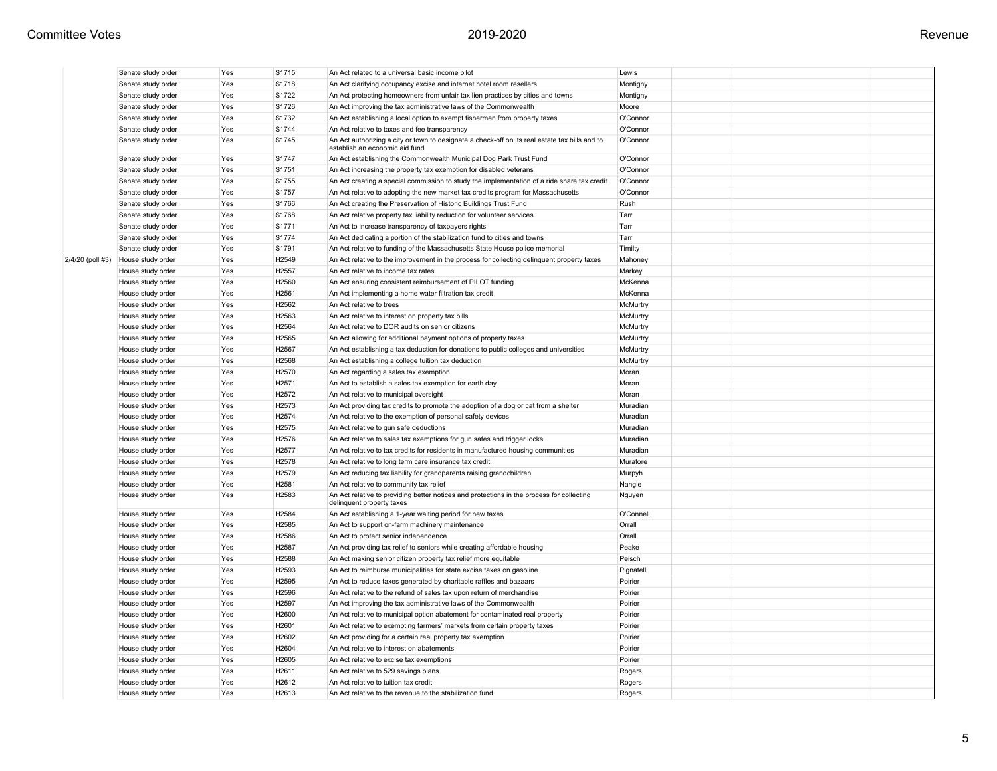|                  | Senate study order | Yes | S1715 | An Act related to a universal basic income pilot                                                                                 | Lewis      |  |
|------------------|--------------------|-----|-------|----------------------------------------------------------------------------------------------------------------------------------|------------|--|
|                  | Senate study order | Yes | S1718 | An Act clarifying occupancy excise and internet hotel room resellers                                                             | Montigny   |  |
|                  | Senate study order | Yes | S1722 | An Act protecting homeowners from unfair tax lien practices by cities and towns                                                  | Montigny   |  |
|                  | Senate study order | Yes | S1726 | An Act improving the tax administrative laws of the Commonwealth                                                                 | Moore      |  |
|                  | Senate study order | Yes | S1732 | An Act establishing a local option to exempt fishermen from property taxes                                                       | O'Connor   |  |
|                  | Senate study order | Yes | S1744 | An Act relative to taxes and fee transparency                                                                                    | O'Connor   |  |
|                  | Senate study order | Yes | S1745 | An Act authorizing a city or town to designate a check-off on its real estate tax bills and to<br>establish an economic aid fund | O'Connor   |  |
|                  | Senate study order | Yes | S1747 | An Act establishing the Commonwealth Municipal Dog Park Trust Fund                                                               | O'Connor   |  |
|                  | Senate study order | Yes | S1751 | An Act increasing the property tax exemption for disabled veterans                                                               | O'Connor   |  |
|                  | Senate study order | Yes | S1755 | An Act creating a special commission to study the implementation of a ride share tax credit                                      | O'Connor   |  |
|                  | Senate study order | Yes | S1757 | An Act relative to adopting the new market tax credits program for Massachusetts                                                 | O'Connor   |  |
|                  | Senate study order | Yes | S1766 | An Act creating the Preservation of Historic Buildings Trust Fund                                                                | Rush       |  |
|                  | Senate study order | Yes | S1768 | An Act relative property tax liability reduction for volunteer services                                                          | Tarr       |  |
|                  | Senate study order | Yes | S1771 | An Act to increase transparency of taxpayers rights                                                                              | Tarr       |  |
|                  | Senate study order | Yes | S1774 | An Act dedicating a portion of the stabilization fund to cities and towns                                                        | Tarr       |  |
|                  | Senate study order | Yes | S1791 | An Act relative to funding of the Massachusetts State House police memorial                                                      | Timilty    |  |
| 2/4/20 (poll #3) | House study order  | Yes | H2549 | An Act relative to the improvement in the process for collecting delinquent property taxes                                       | Mahoney    |  |
|                  | House study order  | Yes | H2557 | An Act relative to income tax rates                                                                                              | Markey     |  |
|                  | House study order  | Yes | H2560 | An Act ensuring consistent reimbursement of PILOT funding                                                                        | McKenna    |  |
|                  | House study order  | Yes | H2561 | An Act implementing a home water filtration tax credit                                                                           | McKenna    |  |
|                  | House study order  | Yes | H2562 | An Act relative to trees                                                                                                         | McMurtry   |  |
|                  | House study order  | Yes | H2563 | An Act relative to interest on property tax bills                                                                                | McMurtry   |  |
|                  | House study order  | Yes | H2564 | An Act relative to DOR audits on senior citizens                                                                                 | McMurtry   |  |
|                  | House study order  | Yes | H2565 | An Act allowing for additional payment options of property taxes                                                                 | McMurtry   |  |
|                  | House study order  | Yes | H2567 | An Act establishing a tax deduction for donations to public colleges and universities                                            | McMurtry   |  |
|                  | House study order  | Yes | H2568 | An Act establishing a college tuition tax deduction                                                                              | McMurtry   |  |
|                  | House study order  | Yes | H2570 | An Act regarding a sales tax exemption                                                                                           | Moran      |  |
|                  | House study order  | Yes | H2571 | An Act to establish a sales tax exemption for earth day                                                                          | Moran      |  |
|                  | House study order  | Yes | H2572 | An Act relative to municipal oversight                                                                                           | Moran      |  |
|                  | House study order  | Yes | H2573 | An Act providing tax credits to promote the adoption of a dog or cat from a shelter                                              | Muradian   |  |
|                  | House study order  | Yes | H2574 | An Act relative to the exemption of personal safety devices                                                                      | Muradian   |  |
|                  | House study order  | Yes | H2575 | An Act relative to gun safe deductions                                                                                           | Muradian   |  |
|                  | House study order  | Yes | H2576 | An Act relative to sales tax exemptions for gun safes and trigger locks                                                          | Muradian   |  |
|                  | House study order  | Yes | H2577 | An Act relative to tax credits for residents in manufactured housing communities                                                 | Muradian   |  |
|                  | House study order  | Yes | H2578 | An Act relative to long term care insurance tax credit                                                                           | Muratore   |  |
|                  | House study order  | Yes | H2579 | An Act reducing tax liability for grandparents raising grandchildren                                                             | Murpyh     |  |
|                  | House study order  | Yes | H2581 | An Act relative to community tax relief                                                                                          | Nangle     |  |
|                  | House study order  | Yes | H2583 | An Act relative to providing better notices and protections in the process for collecting<br>delinquent property taxes           | Nguyen     |  |
|                  | House study order  | Yes | H2584 | An Act establishing a 1-year waiting period for new taxes                                                                        | O'Connell  |  |
|                  | House study order  | Yes | H2585 | An Act to support on-farm machinery maintenance                                                                                  | Orrall     |  |
|                  | House study order  | Yes | H2586 | An Act to protect senior independence                                                                                            | Orrall     |  |
|                  | House study order  | Yes | H2587 | An Act providing tax relief to seniors while creating affordable housing                                                         | Peake      |  |
|                  | House study order  | Yes | H2588 | An Act making senior citizen property tax relief more equitable                                                                  | Peisch     |  |
|                  | House study order  | Yes | H2593 | An Act to reimburse municipalities for state excise taxes on gasoline                                                            | Pignatelli |  |
|                  | House study order  | Yes | H2595 | An Act to reduce taxes generated by charitable raffles and bazaars                                                               | Poirier    |  |
|                  | House study order  | Yes | H2596 | An Act relative to the refund of sales tax upon return of merchandise                                                            | Poirier    |  |
|                  | House study order  | Yes | H2597 | An Act improving the tax administrative laws of the Commonwealth                                                                 | Poirier    |  |
|                  | House study order  | Yes | H2600 | An Act relative to municipal option abatement for contaminated real property                                                     | Poirier    |  |
|                  | House study order  | Yes | H2601 | An Act relative to exempting farmers' markets from certain property taxes                                                        | Poirier    |  |
|                  | House study order  | Yes | H2602 | An Act providing for a certain real property tax exemption                                                                       | Poirier    |  |
|                  | House study order  | Yes | H2604 | An Act relative to interest on abatements                                                                                        | Poirier    |  |
|                  | House study order  | Yes | H2605 | An Act relative to excise tax exemptions                                                                                         | Poirier    |  |
|                  | House study order  | Yes | H2611 | An Act relative to 529 savings plans                                                                                             | Rogers     |  |
|                  | House study order  | Yes | H2612 | An Act relative to tuition tax credit                                                                                            | Rogers     |  |
|                  | House study order  | Yes | H2613 | An Act relative to the revenue to the stabilization fund                                                                         | Rogers     |  |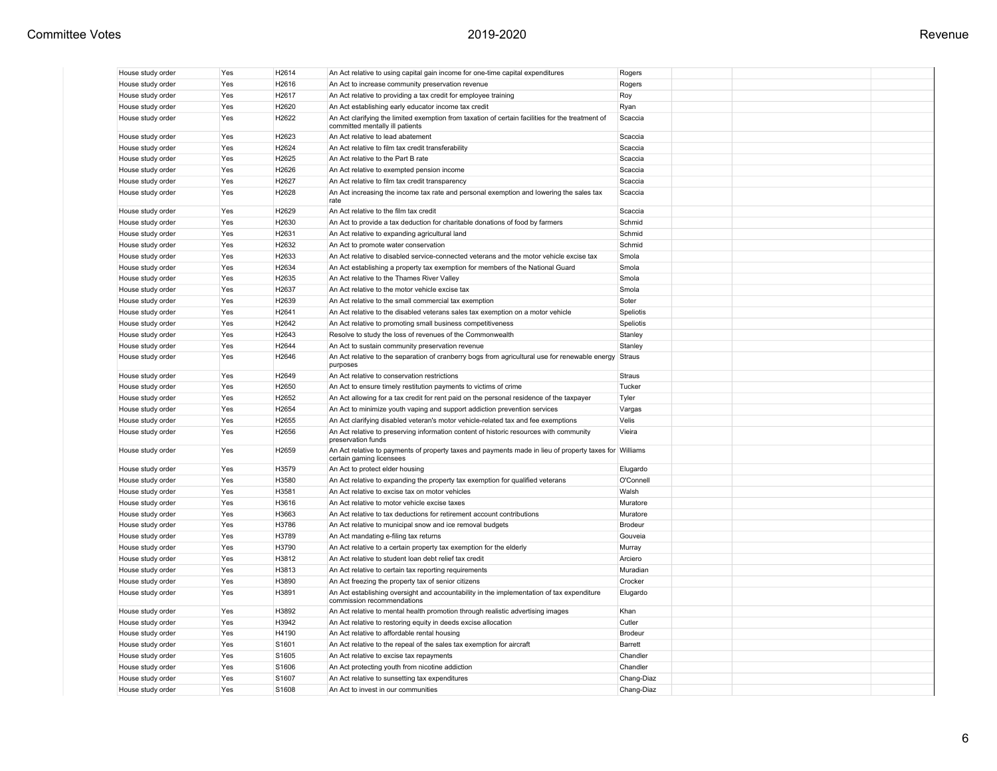| Revenue |  |  |
|---------|--|--|
|---------|--|--|

| House study order | Yes | H2614 | An Act relative to using capital gain income for one-time capital expenditures                                                      | Rogers     |  |
|-------------------|-----|-------|-------------------------------------------------------------------------------------------------------------------------------------|------------|--|
| House study order | Yes | H2616 | An Act to increase community preservation revenue                                                                                   | Rogers     |  |
| House study order | Yes | H2617 | An Act relative to providing a tax credit for employee training                                                                     | Roy        |  |
| House study order | Yes | H2620 | An Act establishing early educator income tax credit                                                                                | Ryan       |  |
| House study order | Yes | H2622 | An Act clarifying the limited exemption from taxation of certain facilities for the treatment of<br>committed mentally ill patients | Scaccia    |  |
| House study order | Yes | H2623 | An Act relative to lead abatement                                                                                                   | Scaccia    |  |
| House study order | Yes | H2624 | An Act relative to film tax credit transferability                                                                                  | Scaccia    |  |
| House study order | Yes | H2625 | An Act relative to the Part B rate                                                                                                  | Scaccia    |  |
| House study order | Yes | H2626 | An Act relative to exempted pension income                                                                                          | Scaccia    |  |
| House study order | Yes | H2627 | An Act relative to film tax credit transparency                                                                                     | Scaccia    |  |
| House study order | Yes | H2628 | An Act increasing the income tax rate and personal exemption and lowering the sales tax<br>rate                                     | Scaccia    |  |
| House study order | Yes | H2629 | An Act relative to the film tax credit                                                                                              | Scaccia    |  |
| House study order | Yes | H2630 | An Act to provide a tax deduction for charitable donations of food by farmers                                                       | Schmid     |  |
| House study order | Yes | H2631 | An Act relative to expanding agricultural land                                                                                      | Schmid     |  |
| House study order | Yes | H2632 | An Act to promote water conservation                                                                                                | Schmid     |  |
| House study order | Yes | H2633 | An Act relative to disabled service-connected veterans and the motor vehicle excise tax                                             | Smola      |  |
| House study order | Yes | H2634 | An Act establishing a property tax exemption for members of the National Guard                                                      | Smola      |  |
| House study order | Yes | H2635 | An Act relative to the Thames River Valley                                                                                          | Smola      |  |
| House study order | Yes | H2637 | An Act relative to the motor vehicle excise tax                                                                                     | Smola      |  |
| House study order | Yes | H2639 | An Act relative to the small commercial tax exemption                                                                               | Soter      |  |
| House study order | Yes | H2641 | An Act relative to the disabled veterans sales tax exemption on a motor vehicle                                                     | Speliotis  |  |
| House study order | Yes | H2642 | An Act relative to promoting small business competitiveness                                                                         | Speliotis  |  |
| House study order | Yes | H2643 | Resolve to study the loss of revenues of the Commonwealth                                                                           | Stanley    |  |
| House study order | Yes | H2644 | An Act to sustain community preservation revenue                                                                                    | Stanley    |  |
| House study order | Yes | H2646 | An Act relative to the separation of cranberry bogs from agricultural use for renewable energy Straus<br>purposes                   |            |  |
| House study order | Yes | H2649 | An Act relative to conservation restrictions                                                                                        | Straus     |  |
| House study order | Yes | H2650 | An Act to ensure timely restitution payments to victims of crime                                                                    | Tucker     |  |
| House study order | Yes | H2652 | An Act allowing for a tax credit for rent paid on the personal residence of the taxpayer                                            | Tyler      |  |
| House study order | Yes | H2654 | An Act to minimize youth vaping and support addiction prevention services                                                           | Vargas     |  |
| House study order | Yes | H2655 | An Act clarifying disabled veteran's motor vehicle-related tax and fee exemptions                                                   | Velis      |  |
| House study order | Yes | H2656 | An Act relative to preserving information content of historic resources with community<br>preservation funds                        | Vieira     |  |
| House study order | Yes | H2659 | An Act relative to payments of property taxes and payments made in lieu of property taxes for Williams<br>certain gaming licensees  |            |  |
| House study order | Yes | H3579 | An Act to protect elder housing                                                                                                     | Elugardo   |  |
| House study order | Yes | H3580 | An Act relative to expanding the property tax exemption for qualified veterans                                                      | O'Connel   |  |
| House study order | Yes | H3581 | An Act relative to excise tax on motor vehicles                                                                                     | Walsh      |  |
| House study order | Yes | H3616 | An Act relative to motor vehicle excise taxes                                                                                       | Muratore   |  |
| House study order | Yes | H3663 | An Act relative to tax deductions for retirement account contributions                                                              | Muratore   |  |
| House study order | Yes | H3786 | An Act relative to municipal snow and ice removal budgets                                                                           | Brodeur    |  |
| House study order | Yes | H3789 | An Act mandating e-filing tax returns                                                                                               | Gouveia    |  |
| House study order | Yes | H3790 | An Act relative to a certain property tax exemption for the elderly                                                                 | Murray     |  |
| House study order | Yes | H3812 | An Act relative to student loan debt relief tax credit                                                                              | Arciero    |  |
| House study order | Yes | H3813 | An Act relative to certain tax reporting requirements                                                                               | Muradian   |  |
| House study order | Yes | H3890 | An Act freezing the property tax of senior citizens                                                                                 | Crocker    |  |
| House study order | Yes | H3891 | An Act establishing oversight and accountability in the implementation of tax expenditure<br>commission recommendations             | Elugardo   |  |
| House study order | Yes | H3892 | An Act relative to mental health promotion through realistic advertising images                                                     | Khan       |  |
| House study order | Yes | H3942 | An Act relative to restoring equity in deeds excise allocation                                                                      | Cutler     |  |
| House study order | Yes | H4190 | An Act relative to affordable rental housing                                                                                        | Brodeur    |  |
| House study order | Yes | S1601 | An Act relative to the repeal of the sales tax exemption for aircraft                                                               | Barrett    |  |
| House study order | Yes | S1605 | An Act relative to excise tax repayments                                                                                            | Chandler   |  |
| House study order | Yes | S1606 | An Act protecting youth from nicotine addiction                                                                                     | Chandler   |  |
| House study order | Yes | S1607 | An Act relative to sunsetting tax expenditures                                                                                      | Chang-Diaz |  |
| House study order | Yes | S1608 | An Act to invest in our communities                                                                                                 | Chang-Diaz |  |
|                   |     |       |                                                                                                                                     |            |  |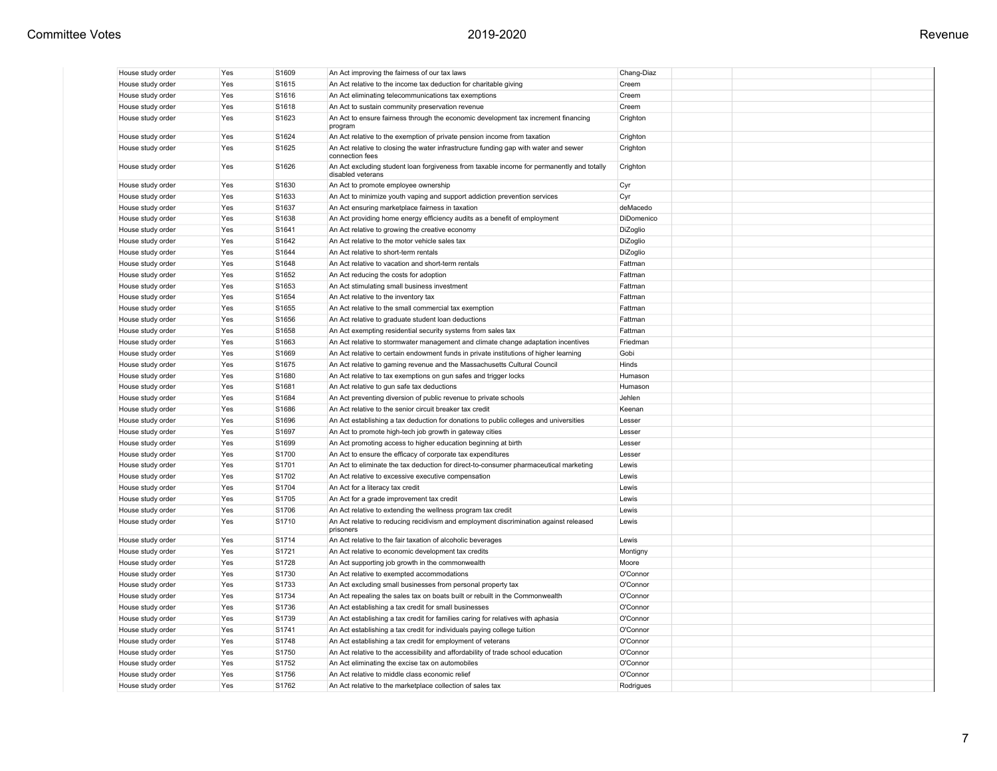| House study order | Yes | S1609 | An Act improving the fairness of our tax laws                                                                  | Chang-Diaz |  |  |
|-------------------|-----|-------|----------------------------------------------------------------------------------------------------------------|------------|--|--|
| House study order | Yes | S1615 | An Act relative to the income tax deduction for charitable giving                                              | Creem      |  |  |
| House study order | Yes | S1616 | An Act eliminating telecommunications tax exemptions                                                           | Creem      |  |  |
| House study order | Yes | S1618 | An Act to sustain community preservation revenue                                                               | Creem      |  |  |
| House study order | Yes | S1623 | An Act to ensure fairness through the economic development tax increment financing<br>program                  | Crighton   |  |  |
| House study order | Yes | S1624 | An Act relative to the exemption of private pension income from taxation                                       | Crighton   |  |  |
| House study order | Yes | S1625 | An Act relative to closing the water infrastructure funding gap with water and sewer<br>connection fees        | Crighton   |  |  |
| House study order | Yes | S1626 | An Act excluding student loan forgiveness from taxable income for permanently and totally<br>disabled veterans | Crighton   |  |  |
| House study order | Yes | S1630 | An Act to promote employee ownership                                                                           | Cyr        |  |  |
| House study order | Yes | S1633 | An Act to minimize youth vaping and support addiction prevention services                                      | Cyr        |  |  |
| House study order | Yes | S1637 | An Act ensuring marketplace fairness in taxation                                                               | deMacedo   |  |  |
| House study order | Yes | S1638 | An Act providing home energy efficiency audits as a benefit of employment                                      | DiDomenico |  |  |
| House study order | Yes | S1641 | An Act relative to growing the creative economy                                                                | DiZoglio   |  |  |
| House study order | Yes | S1642 | An Act relative to the motor vehicle sales tax                                                                 | DiZoglio   |  |  |
| House study order | Yes | S1644 | An Act relative to short-term rentals                                                                          | DiZoglio   |  |  |
| House study order | Yes | S1648 | An Act relative to vacation and short-term rentals                                                             | Fattman    |  |  |
| House study order | Yes | S1652 | An Act reducing the costs for adoption                                                                         | Fattman    |  |  |
| House study order | Yes | S1653 | An Act stimulating small business investment                                                                   | Fattman    |  |  |
| House study order | Yes | S1654 | An Act relative to the inventory tax                                                                           | Fattman    |  |  |
| House study order | Yes | S1655 | An Act relative to the small commercial tax exemption                                                          | Fattman    |  |  |
| House study order | Yes | S1656 | An Act relative to graduate student loan deductions                                                            | Fattman    |  |  |
| House study order | Yes | S1658 | An Act exempting residential security systems from sales tax                                                   | Fattman    |  |  |
| House study order | Yes | S1663 | An Act relative to stormwater management and climate change adaptation incentives                              | Friedman   |  |  |
| House study order | Yes | S1669 | An Act relative to certain endowment funds in private institutions of higher learning                          | Gobi       |  |  |
| House study order | Yes | S1675 | An Act relative to gaming revenue and the Massachusetts Cultural Council                                       | Hinds      |  |  |
| House study order | Yes | S1680 | An Act relative to tax exemptions on gun safes and trigger locks                                               | Humason    |  |  |
|                   | Yes | S1681 |                                                                                                                | Humason    |  |  |
| House study order |     |       | An Act relative to gun safe tax deductions                                                                     |            |  |  |
| House study order | Yes | S1684 | An Act preventing diversion of public revenue to private schools                                               | Jehlen     |  |  |
| House study order | Yes | S1686 | An Act relative to the senior circuit breaker tax credit                                                       | Keenan     |  |  |
| House study order | Yes | S1696 | An Act establishing a tax deduction for donations to public colleges and universities                          | Lesser     |  |  |
| House study order | Yes | S1697 | An Act to promote high-tech job growth in gateway cities                                                       | Lesser     |  |  |
| House study order | Yes | S1699 | An Act promoting access to higher education beginning at birth                                                 | Lesser     |  |  |
| House study order | Yes | S1700 | An Act to ensure the efficacy of corporate tax expenditures                                                    | Lesser     |  |  |
| House study order | Yes | S1701 | An Act to eliminate the tax deduction for direct-to-consumer pharmaceutical marketing                          | Lewis      |  |  |
| House study order | Yes | S1702 | An Act relative to excessive executive compensation                                                            | Lewis      |  |  |
| House study order | Yes | S1704 | An Act for a literacy tax credit                                                                               | Lewis      |  |  |
| House study order | Yes | S1705 | An Act for a grade improvement tax credit                                                                      | Lewis      |  |  |
| House study order | Yes | S1706 | An Act relative to extending the wellness program tax credit                                                   | Lewis      |  |  |
| House study order | Yes | S1710 | An Act relative to reducing recidivism and employment discrimination against released<br>prisoners             | Lewis      |  |  |
| House study order | Yes | S1714 | An Act relative to the fair taxation of alcoholic beverages                                                    | Lewis      |  |  |
| House study order | Yes | S1721 | An Act relative to economic development tax credits                                                            | Montigny   |  |  |
| House study order | Yes | S1728 | An Act supporting job growth in the commonwealth                                                               | Moore      |  |  |
| House study order | Yes | S1730 | An Act relative to exempted accommodations                                                                     | O'Connor   |  |  |
| House study order | Yes | S1733 | An Act excluding small businesses from personal property tax                                                   | O'Connor   |  |  |
| House study order | Yes | S1734 | An Act repealing the sales tax on boats built or rebuilt in the Commonwealth                                   | O'Connor   |  |  |
| House study order | Yes | S1736 | An Act establishing a tax credit for small businesses                                                          | O'Connor   |  |  |
| House study order | Yes | S1739 | An Act establishing a tax credit for families caring for relatives with aphasia                                | O'Connor   |  |  |
| House study order | Yes | S1741 | An Act establishing a tax credit for individuals paying college tuition                                        | O'Connor   |  |  |
| House study order | Yes | S1748 | An Act establishing a tax credit for employment of veterans                                                    | O'Connor   |  |  |
| House study order | Yes | S1750 | An Act relative to the accessibility and affordability of trade school education                               | O'Connor   |  |  |
| House study order | Yes | S1752 | An Act eliminating the excise tax on automobiles                                                               | O'Connor   |  |  |
| House study order | Yes | S1756 | An Act relative to middle class economic relief                                                                | O'Connor   |  |  |
| House study order | Yes | S1762 | An Act relative to the marketplace collection of sales tax                                                     | Rodrigues  |  |  |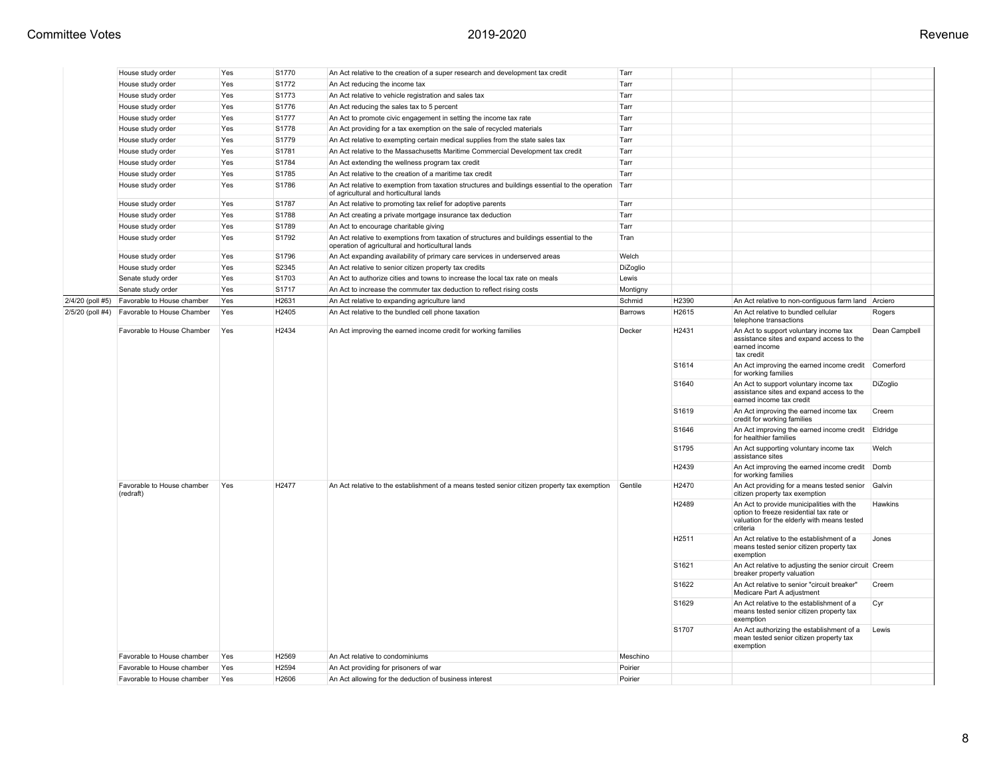|                  | House study order                       | Yes | S1770 | An Act relative to the creation of a super research and development tax credit                                                                | Tarr     |       |                                                                                                                                                  |               |
|------------------|-----------------------------------------|-----|-------|-----------------------------------------------------------------------------------------------------------------------------------------------|----------|-------|--------------------------------------------------------------------------------------------------------------------------------------------------|---------------|
|                  | House study order                       | Yes | S1772 | An Act reducing the income tax                                                                                                                | Tarr     |       |                                                                                                                                                  |               |
|                  | House study order                       | Yes | S1773 | An Act relative to vehicle registration and sales tax                                                                                         | Tarr     |       |                                                                                                                                                  |               |
|                  | House study order                       | Yes | S1776 | An Act reducing the sales tax to 5 percent                                                                                                    | Tarr     |       |                                                                                                                                                  |               |
|                  | House study order                       | Yes | S1777 | An Act to promote civic engagement in setting the income tax rate                                                                             | Tarr     |       |                                                                                                                                                  |               |
|                  | House study order                       | Yes | S1778 | An Act providing for a tax exemption on the sale of recycled materials                                                                        | Tarr     |       |                                                                                                                                                  |               |
|                  | House study order                       | Yes | S1779 | An Act relative to exempting certain medical supplies from the state sales tax                                                                | Tarr     |       |                                                                                                                                                  |               |
|                  | House study order                       | Yes | S1781 | An Act relative to the Massachusetts Maritime Commercial Development tax credit                                                               | Tarr     |       |                                                                                                                                                  |               |
|                  | House study order                       | Yes | S1784 | An Act extending the wellness program tax credit                                                                                              | Tarr     |       |                                                                                                                                                  |               |
|                  | House study order                       | Yes | S1785 | An Act relative to the creation of a maritime tax credit                                                                                      | Tarr     |       |                                                                                                                                                  |               |
|                  | House study order                       | Yes | S1786 | An Act relative to exemption from taxation structures and buildings essential to the operation<br>of agricultural and horticultural lands     | Tarr     |       |                                                                                                                                                  |               |
|                  | House study order                       | Yes | S1787 | An Act relative to promoting tax relief for adoptive parents                                                                                  | Tarr     |       |                                                                                                                                                  |               |
|                  | House study order                       | Yes | S1788 | An Act creating a private mortgage insurance tax deduction                                                                                    | Tarr     |       |                                                                                                                                                  |               |
|                  | House study order                       | Yes | S1789 | An Act to encourage charitable giving                                                                                                         | Tarr     |       |                                                                                                                                                  |               |
|                  | House study order                       | Yes | S1792 | An Act relative to exemptions from taxation of structures and buildings essential to the<br>operation of agricultural and horticultural lands | Tran     |       |                                                                                                                                                  |               |
|                  | House study order                       | Yes | S1796 | An Act expanding availability of primary care services in underserved areas                                                                   | Welch    |       |                                                                                                                                                  |               |
|                  | House study order                       | Yes | S2345 | An Act relative to senior citizen property tax credits                                                                                        | DiZoglio |       |                                                                                                                                                  |               |
|                  | Senate study order                      | Yes | S1703 | An Act to authorize cities and towns to increase the local tax rate on meals                                                                  | Lewis    |       |                                                                                                                                                  |               |
|                  | Senate study order                      | Yes | S1717 | An Act to increase the commuter tax deduction to reflect rising costs                                                                         | Montigny |       |                                                                                                                                                  |               |
| 2/4/20 (poll #5) | Favorable to House chamber              | Yes | H2631 | An Act relative to expanding agriculture land                                                                                                 | Schmid   | H2390 | An Act relative to non-contiguous farm land Arciero                                                                                              |               |
| 2/5/20 (poll #4) | Favorable to House Chamber              | Yes | H2405 | An Act relative to the bundled cell phone taxation                                                                                            | Barrows  | H2615 | An Act relative to bundled cellular<br>telephone transactions                                                                                    | Rogers        |
|                  | Favorable to House Chamber              | Yes | H2434 | An Act improving the earned income credit for working families                                                                                | Decker   | H2431 | An Act to support voluntary income tax<br>assistance sites and expand access to the<br>earned income<br>tax credit                               | Dean Campbell |
|                  |                                         |     |       |                                                                                                                                               |          | S1614 | An Act improving the earned income credit<br>for working families                                                                                | Comerford     |
|                  |                                         |     |       |                                                                                                                                               |          | S1640 | An Act to support voluntary income tax<br>assistance sites and expand access to the<br>earned income tax credit                                  | DiZoglio      |
|                  |                                         |     |       |                                                                                                                                               |          | S1619 | An Act improving the earned income tax<br>credit for working families                                                                            | Creem         |
|                  |                                         |     |       |                                                                                                                                               |          | S1646 | An Act improving the earned income credit<br>for healthier families                                                                              | Eldridge      |
|                  |                                         |     |       |                                                                                                                                               |          | S1795 | An Act supporting voluntary income tax<br>assistance sites                                                                                       | Welch         |
|                  |                                         |     |       |                                                                                                                                               |          | H2439 | An Act improving the earned income credit<br>for working families                                                                                | Domb          |
|                  | Favorable to House chamber<br>(redraft) | Yes | H2477 | An Act relative to the establishment of a means tested senior citizen property tax exemption                                                  | Gentile  | H2470 | An Act providing for a means tested senior<br>citizen property tax exemption                                                                     | Galvin        |
|                  |                                         |     |       |                                                                                                                                               |          | H2489 | An Act to provide municipalities with the<br>option to freeze residential tax rate or<br>valuation for the elderly with means tested<br>criteria | Hawkins       |
|                  |                                         |     |       |                                                                                                                                               |          | H2511 | An Act relative to the establishment of a<br>means tested senior citizen property tax<br>exemption                                               | Jones         |
|                  |                                         |     |       |                                                                                                                                               |          | S1621 | An Act relative to adjusting the senior circuit Creem<br>breaker property valuation                                                              |               |
|                  |                                         |     |       |                                                                                                                                               |          | S1622 | An Act relative to senior "circuit breaker"<br>Medicare Part A adjustment                                                                        | Creem         |
|                  |                                         |     |       |                                                                                                                                               |          | S1629 | An Act relative to the establishment of a<br>means tested senior citizen property tax<br>exemption                                               | Cyr           |
|                  |                                         |     |       |                                                                                                                                               |          | S1707 | An Act authorizing the establishment of a<br>mean tested senior citizen property tax<br>exemption                                                | Lewis         |
|                  | Favorable to House chamber              | Yes | H2569 | An Act relative to condominiums                                                                                                               | Meschino |       |                                                                                                                                                  |               |
|                  | Favorable to House chamber              | Yes | H2594 | An Act providing for prisoners of war                                                                                                         | Poirier  |       |                                                                                                                                                  |               |
|                  | Favorable to House chamber              | Yes | H2606 | An Act allowing for the deduction of business interest                                                                                        | Poirier  |       |                                                                                                                                                  |               |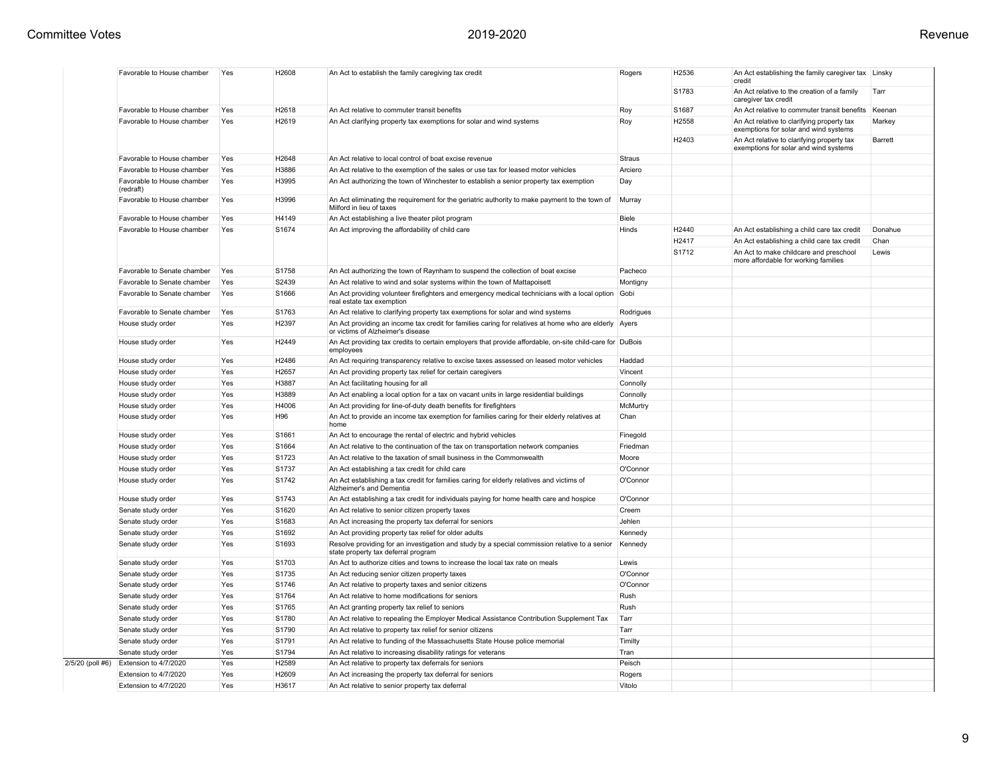| Favorable to House chamber              | Yes | H2608 | An Act to establish the family caregiving tax credit                                                                                         | Rogers        | H2536 | An Act establishing the family caregiver tax Linsky<br>credit                       |         |
|-----------------------------------------|-----|-------|----------------------------------------------------------------------------------------------------------------------------------------------|---------------|-------|-------------------------------------------------------------------------------------|---------|
|                                         |     |       |                                                                                                                                              |               | S1783 | An Act relative to the creation of a family<br>caregiver tax credit                 | Tarr    |
| Favorable to House chamber              | Yes | H2618 | An Act relative to commuter transit benefits                                                                                                 | Roy           | S1687 | An Act relative to commuter transit benefits                                        | Keenan  |
| Favorable to House chamber              | Yes | H2619 | An Act clarifying property tax exemptions for solar and wind systems                                                                         | Roy           | H2558 | An Act relative to clarifying property tax<br>exemptions for solar and wind systems | Markey  |
|                                         |     |       |                                                                                                                                              |               | H2403 | An Act relative to clarifying property tax<br>exemptions for solar and wind systems | Barrett |
| Favorable to House chamber              | Yes | H2648 | An Act relative to local control of boat excise revenue                                                                                      | <b>Straus</b> |       |                                                                                     |         |
| Favorable to House chamber              | Yes | H3886 | An Act relative to the exemption of the sales or use tax for leased motor vehicles                                                           | Arciero       |       |                                                                                     |         |
| Favorable to House chamber<br>(redraft) | Yes | H3995 | An Act authorizing the town of Winchester to establish a senior property tax exemption                                                       | Day           |       |                                                                                     |         |
| Favorable to House chamber              | Yes | H3996 | An Act eliminating the requirement for the geriatric authority to make payment to the town of<br>Milford in lieu of taxes                    | Murray        |       |                                                                                     |         |
| Favorable to House chamber              | Yes | H4149 | An Act establishing a live theater pilot program                                                                                             | Biele         |       |                                                                                     |         |
| Favorable to House chamber              | Yes | S1674 | An Act improving the affordability of child care                                                                                             | Hinds         | H2440 | An Act establishing a child care tax credit                                         | Donahue |
|                                         |     |       |                                                                                                                                              |               | H2417 | An Act establishing a child care tax credit                                         | Chan    |
|                                         |     |       |                                                                                                                                              |               | S1712 | An Act to make childcare and preschool<br>more affordable for working families      | Lewis   |
| Favorable to Senate chamber             | Yes | S1758 | An Act authorizing the town of Raynham to suspend the collection of boat excise                                                              | Pacheco       |       |                                                                                     |         |
| Favorable to Senate chamber             | Yes | S2439 | An Act relative to wind and solar systems within the town of Mattapoisett                                                                    | Montigny      |       |                                                                                     |         |
| Favorable to Senate chamber             | Yes | S1666 | An Act providing volunteer firefighters and emergency medical technicians with a local option<br>real estate tax exemption                   | Gobi          |       |                                                                                     |         |
| Favorable to Senate chamber             | Yes | S1763 | An Act relative to clarifying property tax exemptions for solar and wind systems                                                             | Rodrigues     |       |                                                                                     |         |
| House study order                       | Yes | H2397 | An Act providing an income tax credit for families caring for relatives at home who are elderly   Ayers<br>or victims of Alzheimer's disease |               |       |                                                                                     |         |
| House study order                       | Yes | H2449 | An Act providing tax credits to certain employers that provide affordable, on-site child-care for DuBois<br>employees                        |               |       |                                                                                     |         |
| House study order                       | Yes | H2486 | An Act requiring transparency relative to excise taxes assessed on leased motor vehicles                                                     | Haddad        |       |                                                                                     |         |
| House study order                       | Yes | H2657 | An Act providing property tax relief for certain caregivers                                                                                  | Vincent       |       |                                                                                     |         |
| House study order                       | Yes | H3887 | An Act facilitating housing for all                                                                                                          | Connolly      |       |                                                                                     |         |
| House study order                       | Yes | H3889 | An Act enabling a local option for a tax on vacant units in large residential buildings                                                      | Connolly      |       |                                                                                     |         |
| House study order                       | Yes | H4006 | An Act providing for line-of-duty death benefits for firefighters                                                                            | McMurtry      |       |                                                                                     |         |
| House study order                       | Yes | H96   | An Act to provide an income tax exemption for families caring for their elderly relatives at<br>home                                         | Chan          |       |                                                                                     |         |
| House study order                       | Yes | S1661 | An Act to encourage the rental of electric and hybrid vehicles                                                                               | Finegold      |       |                                                                                     |         |
| House study order                       | Yes | S1664 | An Act relative to the continuation of the tax on transportation network companies                                                           | Friedman      |       |                                                                                     |         |
| House study order                       | Yes | S1723 | An Act relative to the taxation of small business in the Commonwealth                                                                        | Moore         |       |                                                                                     |         |
| House study order                       | Yes | S1737 | An Act establishing a tax credit for child care                                                                                              | O'Connor      |       |                                                                                     |         |
| House study order                       | Yes | S1742 | An Act establishing a tax credit for families caring for elderly relatives and victims of<br>Alzheimer's and Dementia                        | O'Connor      |       |                                                                                     |         |
| House study order                       | Yes | S1743 | An Act establishing a tax credit for individuals paying for home health care and hospice                                                     | O'Connor      |       |                                                                                     |         |
| Senate study order                      | Yes | S1620 | An Act relative to senior citizen property taxes                                                                                             | Creem         |       |                                                                                     |         |
| Senate study order                      | Yes | S1683 | An Act increasing the property tax deferral for seniors                                                                                      | Jehlen        |       |                                                                                     |         |
| Senate study order                      | Yes | S1692 | An Act providing property tax relief for older adults                                                                                        | Kennedy       |       |                                                                                     |         |
| Senate study order                      | Yes | S1693 | Resolve providing for an investigation and study by a special commission relative to a senior<br>state property tax deferral program         | Kennedy       |       |                                                                                     |         |
| Senate study order                      | Yes | S1703 | An Act to authorize cities and towns to increase the local tax rate on meals                                                                 | Lewis         |       |                                                                                     |         |
| Senate study order                      | Yes | S1735 | An Act reducing senior citizen property taxes                                                                                                | O'Connor      |       |                                                                                     |         |
| Senate study order                      | Yes | S1746 | An Act relative to property taxes and senior citizens                                                                                        | O'Connor      |       |                                                                                     |         |
| Senate study order                      | Yes | S1764 | An Act relative to home modifications for seniors                                                                                            | Rush          |       |                                                                                     |         |
| Senate study order                      | Yes | S1765 | An Act granting property tax relief to seniors                                                                                               | Rush          |       |                                                                                     |         |
| Senate study order                      | Yes | S1780 | An Act relative to repealing the Employer Medical Assistance Contribution Supplement Tax                                                     | Tarr          |       |                                                                                     |         |
| Senate study order                      | Yes | S1790 | An Act relative to property tax relief for senior citizens                                                                                   | Tarr          |       |                                                                                     |         |
| Senate study order                      | Yes | S1791 | An Act relative to funding of the Massachusetts State House police memorial                                                                  | Timilty       |       |                                                                                     |         |
| Senate study order                      | Yes | S1794 | An Act relative to increasing disability ratings for veterans                                                                                | Tran          |       |                                                                                     |         |
| Extension to 4/7/2020                   | Yes | H2589 | An Act relative to property tax deferrals for seniors                                                                                        | Peisch        |       |                                                                                     |         |
| Extension to 4/7/2020                   | Yes | H2609 | An Act increasing the property tax deferral for seniors                                                                                      | Rogers        |       |                                                                                     |         |
| Extension to 4/7/2020                   | Yes | H3617 | An Act relative to senior property tax deferral                                                                                              | Vitolo        |       |                                                                                     |         |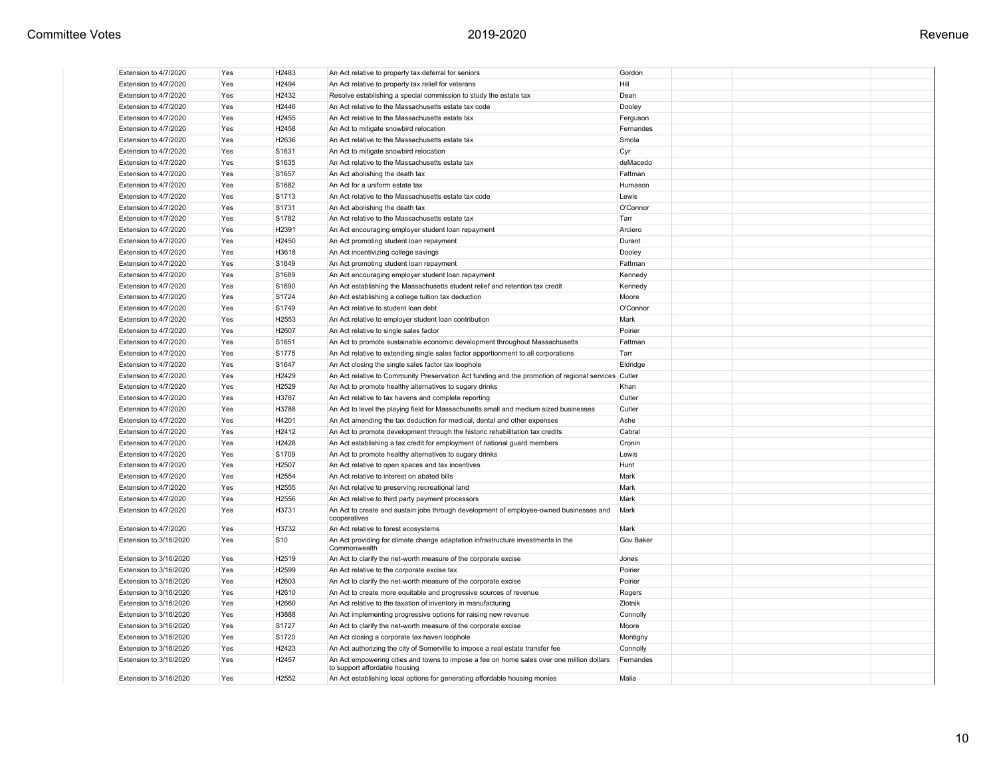| Revenue |  |  |
|---------|--|--|
|---------|--|--|

| Extension to 4/7/2020  | Yes | H2483             | An Act relative to property tax deferral for seniors                                                                       | Gordon           |  |  |
|------------------------|-----|-------------------|----------------------------------------------------------------------------------------------------------------------------|------------------|--|--|
| Extension to 4/7/2020  | Yes | H2494             | An Act relative to property tax relief for veterans                                                                        | Hill             |  |  |
| Extension to 4/7/2020  | Yes | H2432             | Resolve establishing a special commission to study the estate tax                                                          | Dean             |  |  |
| Extension to 4/7/2020  | Yes | H2446             | An Act relative to the Massachusetts estate tax code                                                                       | Dooley           |  |  |
| Extension to 4/7/2020  | Yes | H2455             | An Act relative to the Massachusetts estate tax                                                                            | Ferguson         |  |  |
| Extension to 4/7/2020  | Yes | H2458             | An Act to mitigate snowbird relocation                                                                                     | Fernandes        |  |  |
| Extension to 4/7/2020  | Yes | H2636             | An Act relative to the Massachusetts estate tax                                                                            | Smola            |  |  |
| Extension to 4/7/2020  | Yes | S1631             | An Act to mitigate snowbird relocation                                                                                     | Cyr              |  |  |
| Extension to 4/7/2020  | Yes | S1635             | An Act relative to the Massachusetts estate tax                                                                            | deMacedo         |  |  |
| Extension to 4/7/2020  | Yes | S1657             | An Act abolishing the death tax                                                                                            | Fattman          |  |  |
| Extension to 4/7/2020  | Yes | S1682             | An Act for a uniform estate tax                                                                                            | Humason          |  |  |
| Extension to 4/7/2020  | Yes | S1713             | An Act relative to the Massachusetts estate tax code                                                                       | Lewis            |  |  |
| Extension to 4/7/2020  | Yes | S1731             | An Act abolishing the death tax                                                                                            | O'Connor         |  |  |
| Extension to 4/7/2020  | Yes | S1782             | An Act relative to the Massachusetts estate tax                                                                            | Tarr             |  |  |
| Extension to 4/7/2020  | Yes | H2391             | An Act encouraging employer student loan repayment                                                                         | Arciero          |  |  |
| Extension to 4/7/2020  | Yes | H2450             | An Act promoting student loan repayment                                                                                    | Durant           |  |  |
| Extension to 4/7/2020  | Yes | H3618             | An Act incentivizing college savings                                                                                       | Dooley           |  |  |
| Extension to 4/7/2020  | Yes | S1649             | An Act promoting student loan repayment                                                                                    | Fattman          |  |  |
| Extension to 4/7/2020  | Yes | S1689             | An Act encouraging employer student loan repayment                                                                         | Kennedy          |  |  |
| Extension to 4/7/2020  | Yes | S1690             | An Act establishing the Massachusetts student relief and retention tax credit                                              | Kennedy          |  |  |
| Extension to 4/7/2020  | Yes | S1724             | An Act establishing a college tuition tax deduction                                                                        | Moore            |  |  |
| Extension to 4/7/2020  | Yes | S1749             | An Act relative to student loan debt                                                                                       | O'Connor         |  |  |
| Extension to 4/7/2020  | Yes | H2553             | An Act relative to employer student loan contribution                                                                      | Mark             |  |  |
| Extension to 4/7/2020  | Yes | H2607             | An Act relative to single sales factor                                                                                     | Poirier          |  |  |
| Extension to 4/7/2020  | Yes | S1651             | An Act to promote sustainable economic development throughout Massachusetts                                                | Fattman          |  |  |
| Extension to 4/7/2020  | Yes | S <sub>1775</sub> | An Act relative to extending single sales factor apportionment to all corporations                                         | Tarr             |  |  |
| Extension to 4/7/2020  | Yes | S1647             | An Act closing the single sales factor tax loophole                                                                        | Eldridge         |  |  |
| Extension to 4/7/2020  | Yes | H2429             | An Act relative to Community Preservation Act funding and the promotion of regional services Cutler                        |                  |  |  |
| Extension to 4/7/2020  | Yes | H2529             | An Act to promote healthy alternatives to sugary drinks                                                                    | Khan             |  |  |
| Extension to 4/7/2020  | Yes | H3787             | An Act relative to tax havens and complete reporting                                                                       | Cutler           |  |  |
| Extension to 4/7/2020  | Yes | H3788             | An Act to level the playing field for Massachusetts small and medium sized businesses                                      | Cutler           |  |  |
| Extension to 4/7/2020  | Yes | H4201             | An Act amending the tax deduction for medical, dental and other expenses                                                   | Ashe             |  |  |
| Extension to 4/7/2020  | Yes | H2412             | An Act to promote development through the historic rehabilitation tax credits                                              | Cabral           |  |  |
| Extension to 4/7/2020  | Yes | H2428             | An Act establishing a tax credit for employment of national guard members                                                  | Cronin           |  |  |
| Extension to 4/7/2020  | Yes | S1709             | An Act to promote healthy alternatives to sugary drinks                                                                    | Lewis            |  |  |
| Extension to 4/7/2020  | Yes | H2507             | An Act relative to open spaces and tax incentives                                                                          | Hunt             |  |  |
| Extension to 4/7/2020  | Yes | H2554             | An Act relative to interest on abated bills                                                                                | Mark             |  |  |
| Extension to 4/7/2020  | Yes | H2555             | An Act relative to preserving recreational land                                                                            | Mark             |  |  |
| Extension to 4/7/2020  | Yes | H2556             | An Act relative to third party payment processors                                                                          | Mark             |  |  |
| Extension to 4/7/2020  | Yes | H3731             | An Act to create and sustain jobs through development of employee-owned businesses and<br>cooperatives                     | Mark             |  |  |
| Extension to 4/7/2020  | Yes | H3732             | An Act relative to forest ecosystems                                                                                       | Mark             |  |  |
| Extension to 3/16/2020 | Yes | S <sub>10</sub>   | An Act providing for climate change adaptation infrastructure investments in the<br>Commonwealth                           | <b>Gov Baker</b> |  |  |
| Extension to 3/16/2020 | Yes | H2519             | An Act to clarify the net-worth measure of the corporate excise                                                            | Jones            |  |  |
| Extension to 3/16/2020 | Yes | H2599             | An Act relative to the corporate excise tax                                                                                | Poirier          |  |  |
| Extension to 3/16/2020 | Yes | H2603             | An Act to clarify the net-worth measure of the corporate excise                                                            | Poirier          |  |  |
| Extension to 3/16/2020 | Yes | H2610             | An Act to create more equitable and progressive sources of revenue                                                         | Rogers           |  |  |
| Extension to 3/16/2020 | Yes | H2660             | An Act relative to the taxation of inventory in manufacturing                                                              | Zlotnik          |  |  |
| Extension to 3/16/2020 | Yes | H3888             | An Act implementing progressive options for raising new revenue                                                            | Connolly         |  |  |
| Extension to 3/16/2020 | Yes | S1727             | An Act to clarify the net-worth measure of the corporate excise                                                            | Moore            |  |  |
| Extension to 3/16/2020 | Yes | S1720             | An Act closing a corporate tax haven loophole                                                                              | Montigny         |  |  |
| Extension to 3/16/2020 | Yes | H2423             | An Act authorizing the city of Somerville to impose a real estate transfer fee                                             | Connolly         |  |  |
| Extension to 3/16/2020 | Yes | H2457             | An Act empowering cities and towns to impose a fee on home sales over one million dollars<br>to support affordable housing | Fernandes        |  |  |
| Extension to 3/16/2020 | Yes | H2552             | An Act establishing local options for generating affordable housing monies                                                 | Malia            |  |  |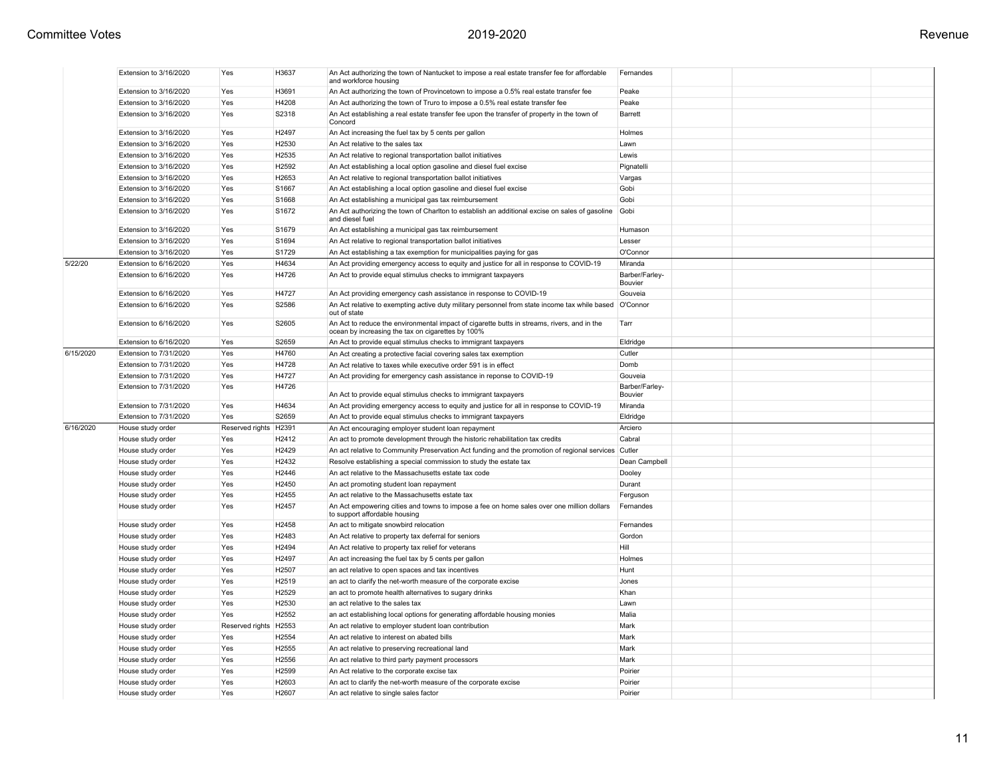| Revenue |  |
|---------|--|
|---------|--|

|           | Extension to 3/16/2020 | Yes                   | H3637 | An Act authorizing the town of Nantucket to impose a real estate transfer fee for affordable<br>and workforce housing                            | Fernandes                 |  |
|-----------|------------------------|-----------------------|-------|--------------------------------------------------------------------------------------------------------------------------------------------------|---------------------------|--|
|           | Extension to 3/16/2020 | Yes                   | H3691 | An Act authorizing the town of Provincetown to impose a 0.5% real estate transfer fee                                                            | Peake                     |  |
|           | Extension to 3/16/2020 | Yes                   | H4208 | An Act authorizing the town of Truro to impose a 0.5% real estate transfer fee                                                                   | Peake                     |  |
|           | Extension to 3/16/2020 | Yes                   | S2318 | An Act establishing a real estate transfer fee upon the transfer of property in the town of<br>Concord                                           | Barrett                   |  |
|           | Extension to 3/16/2020 | Yes                   | H2497 | An Act increasing the fuel tax by 5 cents per gallon                                                                                             | Holmes                    |  |
|           | Extension to 3/16/2020 | Yes                   | H2530 | An Act relative to the sales tax                                                                                                                 | Lawn                      |  |
|           | Extension to 3/16/2020 | Yes                   | H2535 | An Act relative to regional transportation ballot initiatives                                                                                    | Lewis                     |  |
|           | Extension to 3/16/2020 | Yes                   | H2592 | An Act establishing a local option gasoline and diesel fuel excise                                                                               | Pignatelli                |  |
|           | Extension to 3/16/2020 | Yes                   | H2653 | An Act relative to regional transportation ballot initiatives                                                                                    | Vargas                    |  |
|           | Extension to 3/16/2020 | Yes                   | S1667 | An Act establishing a local option gasoline and diesel fuel excise                                                                               | Gobi                      |  |
|           | Extension to 3/16/2020 | Yes                   | S1668 | An Act establishing a municipal gas tax reimbursement                                                                                            | Gobi                      |  |
|           | Extension to 3/16/2020 | Yes                   | S1672 | An Act authorizing the town of Charlton to establish an additional excise on sales of gasoline                                                   | Gobi                      |  |
|           |                        |                       |       | and diesel fuel                                                                                                                                  |                           |  |
|           | Extension to 3/16/2020 | Yes                   | S1679 | An Act establishing a municipal gas tax reimbursement                                                                                            | Humason                   |  |
|           | Extension to 3/16/2020 | Yes                   | S1694 | An Act relative to regional transportation ballot initiatives                                                                                    | Lesser                    |  |
|           | Extension to 3/16/2020 | Yes                   | S1729 | An Act establishing a tax exemption for municipalities paying for gas                                                                            | O'Connor                  |  |
| 5/22/20   | Extension to 6/16/2020 | Yes                   | H4634 | An Act providing emergency access to equity and justice for all in response to COVID-19                                                          | Miranda                   |  |
|           | Extension to 6/16/2020 | Yes                   | H4726 | An Act to provide equal stimulus checks to immigrant taxpayers                                                                                   | Barber/Farley-<br>Bouvier |  |
|           | Extension to 6/16/2020 | Yes                   | H4727 | An Act providing emergency cash assistance in response to COVID-19                                                                               | Gouveia                   |  |
|           | Extension to 6/16/2020 | Yes                   | S2586 | An Act relative to exempting active duty military personnel from state income tax while based<br>out of state                                    | O'Connor                  |  |
|           | Extension to 6/16/2020 | Yes                   | S2605 | An Act to reduce the environmental impact of cigarette butts in streams, rivers, and in the<br>ocean by increasing the tax on cigarettes by 100% | Tarr                      |  |
|           | Extension to 6/16/2020 | Yes                   | S2659 | An Act to provide equal stimulus checks to immigrant taxpayers                                                                                   | Eldridge                  |  |
| 6/15/2020 | Extension to 7/31/2020 | Yes                   | H4760 | An Act creating a protective facial covering sales tax exemption                                                                                 | Cutler                    |  |
|           | Extension to 7/31/2020 | Yes                   | H4728 | An Act relative to taxes while executive order 591 is in effect                                                                                  | Domb                      |  |
|           | Extension to 7/31/2020 | Yes                   | H4727 | An Act providing for emergency cash assistance in reponse to COVID-19                                                                            | Gouveia                   |  |
|           | Extension to 7/31/2020 | Yes                   | H4726 | An Act to provide equal stimulus checks to immigrant taxpayers                                                                                   | Barber/Farley-<br>Bouvier |  |
|           | Extension to 7/31/2020 | Yes                   | H4634 | An Act providing emergency access to equity and justice for all in response to COVID-19                                                          | Miranda                   |  |
|           | Extension to 7/31/2020 | Yes                   | S2659 | An Act to provide equal stimulus checks to immigrant taxpayers                                                                                   | Eldridge                  |  |
| 6/16/2020 | House study order      | Reserved rights H2391 |       | An Act encouraging employer student loan repayment                                                                                               | Arciero                   |  |
|           | House study order      | Yes                   | H2412 | An act to promote development through the historic rehabilitation tax credits                                                                    | Cabral                    |  |
|           | House study order      | Yes                   | H2429 | An act relative to Community Preservation Act funding and the promotion of regional services Cutler                                              |                           |  |
|           | House study order      | Yes                   | H2432 | Resolve establishing a special commission to study the estate tax                                                                                | Dean Campbell             |  |
|           | House study order      | Yes                   | H2446 | An act relative to the Massachusetts estate tax code                                                                                             | Dooley                    |  |
|           | House study order      | Yes                   | H2450 | An act promoting student loan repayment                                                                                                          | Durant                    |  |
|           | House study order      | Yes                   | H2455 | An act relative to the Massachusetts estate tax                                                                                                  | Ferguson                  |  |
|           | House study order      | Yes                   | H2457 | An Act empowering cities and towns to impose a fee on home sales over one million dollars<br>to support affordable housing                       | Fernandes                 |  |
|           | House study order      | Yes                   | H2458 | An act to mitigate snowbird relocation                                                                                                           | Fernandes                 |  |
|           | House study order      | Yes                   | H2483 | An Act relative to property tax deferral for seniors                                                                                             | Gordon                    |  |
|           | House study order      | Yes                   | H2494 | An Act relative to property tax relief for veterans                                                                                              | Hill                      |  |
|           | House study order      | Yes                   | H2497 | An act increasing the fuel tax by 5 cents per gallon                                                                                             | Holmes                    |  |
|           | House study order      | Yes                   | H2507 | an act relative to open spaces and tax incentives                                                                                                | Hunt                      |  |
|           | House study order      | Yes                   | H2519 | an act to clarify the net-worth measure of the corporate excise                                                                                  | Jones                     |  |
|           | House study order      | Yes                   | H2529 | an act to promote health alternatives to sugary drinks                                                                                           | Khan                      |  |
|           | House study order      | Yes                   | H2530 | an act relative to the sales tax                                                                                                                 | Lawn                      |  |
|           | House study order      | Yes                   | H2552 | an act establishing local options for generating affordable housing monies                                                                       | Malia                     |  |
|           | House study order      | Reserved rights H2553 |       | An act relative to employer student loan contribution                                                                                            | Mark                      |  |
|           | House study order      | Yes                   | H2554 | An act relative to interest on abated bills                                                                                                      | Mark                      |  |
|           | House study order      | Yes                   | H2555 | An act relative to preserving recreational land                                                                                                  | Mark                      |  |
|           | House study order      | Yes                   | H2556 | An act relative to third party payment processors                                                                                                | Mark                      |  |
|           | House study order      | Yes                   | H2599 | An Act relative to the corporate excise tax                                                                                                      | Poirier                   |  |
|           | House study order      | Yes                   | H2603 | An act to clarify the net-worth measure of the corporate excise                                                                                  | Poirier                   |  |
|           | House study order      | Yes                   | H2607 | An act relative to single sales factor                                                                                                           | Poirier                   |  |
|           |                        |                       |       |                                                                                                                                                  |                           |  |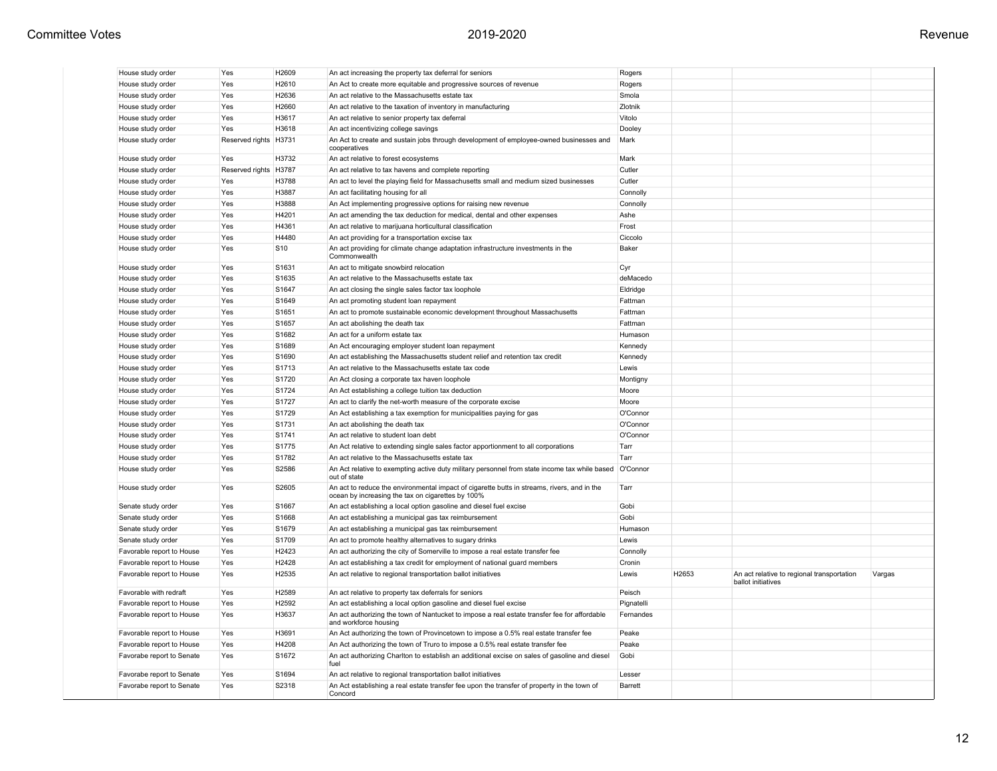| Revenue |
|---------|
|---------|

| House study order         | Yes                   | H2609 | An act increasing the property tax deferral for seniors                                                                                          | Rogers         |       |                                                                  |        |
|---------------------------|-----------------------|-------|--------------------------------------------------------------------------------------------------------------------------------------------------|----------------|-------|------------------------------------------------------------------|--------|
| House study order         | Yes                   | H2610 | An Act to create more equitable and progressive sources of revenue                                                                               | Rogers         |       |                                                                  |        |
| House study order         | Yes                   | H2636 | An act relative to the Massachusetts estate tax                                                                                                  | Smola          |       |                                                                  |        |
| House study order         | Yes                   | H2660 | An act relative to the taxation of inventory in manufacturing                                                                                    | Zlotnik        |       |                                                                  |        |
| House study order         | Yes                   | H3617 | An act relative to senior property tax deferral                                                                                                  | Vitolo         |       |                                                                  |        |
| House study order         | Yes                   | H3618 | An act incentivizing college savings                                                                                                             | Dooley         |       |                                                                  |        |
| House study order         | Reserved rights H3731 |       | An Act to create and sustain jobs through development of employee-owned businesses and<br>cooperatives                                           | Mark           |       |                                                                  |        |
| House study order         | Yes                   | H3732 | An act relative to forest ecosystems                                                                                                             | Mark           |       |                                                                  |        |
| House study order         | Reserved rights H3787 |       | An act relative to tax havens and complete reporting                                                                                             | Cutler         |       |                                                                  |        |
| House study order         | Yes                   | H3788 | An act to level the playing field for Massachusetts small and medium sized businesses                                                            | Cutler         |       |                                                                  |        |
| House study order         | Yes                   | H3887 | An act facilitating housing for all                                                                                                              | Connolly       |       |                                                                  |        |
| House study order         | Yes                   | H3888 | An Act implementing progressive options for raising new revenue                                                                                  | Connolly       |       |                                                                  |        |
| House study order         | Yes                   | H4201 | An act amending the tax deduction for medical, dental and other expenses                                                                         | Ashe           |       |                                                                  |        |
| House study order         | Yes                   | H4361 | An act relative to marijuana horticultural classification                                                                                        | Frost          |       |                                                                  |        |
| House study order         | Yes                   | H4480 | An act providing for a transportation excise tax                                                                                                 | Ciccolo        |       |                                                                  |        |
| House study order         | Yes                   | S10   | An act providing for climate change adaptation infrastructure investments in the<br>Commonwealth                                                 | Baker          |       |                                                                  |        |
| House study order         | Yes                   | S1631 | An act to mitigate snowbird relocation                                                                                                           | Cyr            |       |                                                                  |        |
| House study order         | Yes                   | S1635 | An act relative to the Massachusetts estate tax                                                                                                  | deMacedo       |       |                                                                  |        |
| House study order         | Yes                   | S1647 | An act closing the single sales factor tax loophole                                                                                              | Eldridge       |       |                                                                  |        |
| House study order         | Yes                   | S1649 | An act promoting student loan repayment                                                                                                          | Fattman        |       |                                                                  |        |
| House study order         | Yes                   | S1651 | An act to promote sustainable economic development throughout Massachusetts                                                                      | Fattman        |       |                                                                  |        |
| House study order         | Yes                   | S1657 | An act abolishing the death tax                                                                                                                  | Fattman        |       |                                                                  |        |
| House study order         | Yes                   | S1682 | An act for a uniform estate tax                                                                                                                  | Humason        |       |                                                                  |        |
| House study order         | Yes                   | S1689 | An Act encouraging employer student loan repayment                                                                                               | Kennedy        |       |                                                                  |        |
| House study order         | Yes                   | S1690 | An act establishing the Massachusetts student relief and retention tax credit                                                                    | Kennedy        |       |                                                                  |        |
| House study order         | Yes                   | S1713 | An act relative to the Massachusetts estate tax code                                                                                             | Lewis          |       |                                                                  |        |
| House study order         | Yes                   | S1720 | An Act closing a corporate tax haven loophole                                                                                                    | Montigny       |       |                                                                  |        |
| House study order         | Yes                   | S1724 | An Act establishing a college tuition tax deduction                                                                                              | Moore          |       |                                                                  |        |
| House study order         | Yes                   | S1727 | An act to clarify the net-worth measure of the corporate excise                                                                                  | Moore          |       |                                                                  |        |
| House study order         | Yes                   | S1729 | An Act establishing a tax exemption for municipalities paying for gas                                                                            | O'Connor       |       |                                                                  |        |
| House study order         | Yes                   | S1731 | An act abolishing the death tax                                                                                                                  | O'Connor       |       |                                                                  |        |
| House study order         | Yes                   | S1741 | An act relative to student loan debt                                                                                                             | O'Connor       |       |                                                                  |        |
| House study order         | Yes                   | S1775 | An Act relative to extending single sales factor apportionment to all corporations                                                               | Tarr           |       |                                                                  |        |
| House study order         | Yes                   | S1782 | An act relative to the Massachusetts estate tax                                                                                                  | Tarr           |       |                                                                  |        |
| House study order         | Yes                   | S2586 | An Act relative to exempting active duty military personnel from state income tax while based<br>out of state                                    | O'Connor       |       |                                                                  |        |
| House study order         | Yes                   | S2605 | An act to reduce the environmental impact of cigarette butts in streams, rivers, and in the<br>ocean by increasing the tax on cigarettes by 100% | Tarr           |       |                                                                  |        |
| Senate study order        | Yes                   | S1667 | An act establishing a local option gasoline and diesel fuel excise                                                                               | Gobi           |       |                                                                  |        |
| Senate study order        | Yes                   | S1668 | An act establishing a municipal gas tax reimbursement                                                                                            | Gobi           |       |                                                                  |        |
| Senate study order        | Yes                   | S1679 | An act establishing a municipal gas tax reimbursement                                                                                            | Humason        |       |                                                                  |        |
| Senate study order        | Yes                   | S1709 | An act to promote healthy alternatives to sugary drinks                                                                                          | Lewis          |       |                                                                  |        |
| Favorable report to House | Yes                   | H2423 | An act authorizing the city of Somerville to impose a real estate transfer fee                                                                   | Connolly       |       |                                                                  |        |
| Favorable report to House | Yes                   | H2428 | An act establishing a tax credit for employment of national guard members                                                                        | Cronin         |       |                                                                  |        |
| Favorable report to House | Yes                   | H2535 | An act relative to regional transportation ballot initiatives                                                                                    | Lewis          | H2653 | An act relative to regional transportation<br>ballot initiatives | Vargas |
| Favorable with redraft    | Yes                   | H2589 | An act relative to property tax deferrals for seniors                                                                                            | Peisch         |       |                                                                  |        |
| Favorable report to House | Yes                   | H2592 | An act establishing a local option gasoline and diesel fuel excise                                                                               | Pignatelli     |       |                                                                  |        |
| Favorable report to House | Yes                   | H3637 | An act authorizing the town of Nantucket to impose a real estate transfer fee for affordable<br>and workforce housing                            | Fernandes      |       |                                                                  |        |
| Favorable report to House | Yes                   | H3691 | An Act authorizing the town of Provincetown to impose a 0.5% real estate transfer fee                                                            | Peake          |       |                                                                  |        |
| Favorable report to House | Yes                   | H4208 | An Act authorizing the town of Truro to impose a 0.5% real estate transfer fee                                                                   | Peake          |       |                                                                  |        |
| Favorabe report to Senate | Yes                   | S1672 | An act authorizing Charlton to establish an additional excise on sales of gasoline and diesel<br>fuel                                            | Gobi           |       |                                                                  |        |
| Favorabe report to Senate | Yes                   | S1694 | An act relative to regional transportation ballot initiatives                                                                                    | Lesser         |       |                                                                  |        |
| Favorabe report to Senate | Yes                   | S2318 | An Act establishing a real estate transfer fee upon the transfer of property in the town of<br>Concord                                           | <b>Barrett</b> |       |                                                                  |        |
|                           |                       |       |                                                                                                                                                  |                |       |                                                                  |        |